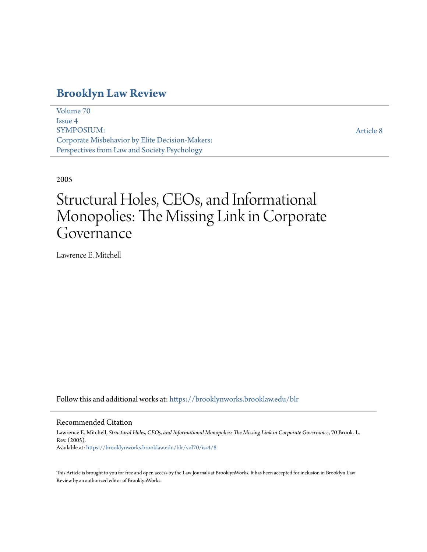## **[Brooklyn Law Review](https://brooklynworks.brooklaw.edu/blr?utm_source=brooklynworks.brooklaw.edu%2Fblr%2Fvol70%2Fiss4%2F8&utm_medium=PDF&utm_campaign=PDFCoverPages)**

[Volume 70](https://brooklynworks.brooklaw.edu/blr/vol70?utm_source=brooklynworks.brooklaw.edu%2Fblr%2Fvol70%2Fiss4%2F8&utm_medium=PDF&utm_campaign=PDFCoverPages) [Issue 4](https://brooklynworks.brooklaw.edu/blr/vol70/iss4?utm_source=brooklynworks.brooklaw.edu%2Fblr%2Fvol70%2Fiss4%2F8&utm_medium=PDF&utm_campaign=PDFCoverPages) SYMPOSIUM: Corporate Misbehavior by Elite Decision-Makers: Perspectives from Law and Society Psychology

[Article 8](https://brooklynworks.brooklaw.edu/blr/vol70/iss4/8?utm_source=brooklynworks.brooklaw.edu%2Fblr%2Fvol70%2Fiss4%2F8&utm_medium=PDF&utm_campaign=PDFCoverPages)

## 2005

# Structural Holes, CEOs, and Informational Monopolies: The Missing Link in Corporate Governance

Lawrence E. Mitchell

Follow this and additional works at: [https://brooklynworks.brooklaw.edu/blr](https://brooklynworks.brooklaw.edu/blr?utm_source=brooklynworks.brooklaw.edu%2Fblr%2Fvol70%2Fiss4%2F8&utm_medium=PDF&utm_campaign=PDFCoverPages)

### Recommended Citation

Lawrence E. Mitchell, *Structural Holes, CEOs, and Informational Monopolies: The Missing Link in Corporate Governance*, 70 Brook. L. Rev. (2005). Available at: [https://brooklynworks.brooklaw.edu/blr/vol70/iss4/8](https://brooklynworks.brooklaw.edu/blr/vol70/iss4/8?utm_source=brooklynworks.brooklaw.edu%2Fblr%2Fvol70%2Fiss4%2F8&utm_medium=PDF&utm_campaign=PDFCoverPages)

This Article is brought to you for free and open access by the Law Journals at BrooklynWorks. It has been accepted for inclusion in Brooklyn Law Review by an authorized editor of BrooklynWorks.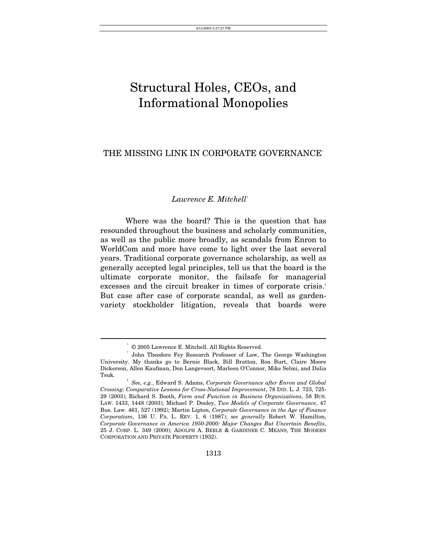## Structural Holes, CEOs, and Informational Monopolies

## THE MISSING LINK IN CORPORATE GOVERNANCE[\\*](#page-1-0)

## *Lawrence E. Mitchell*†

Where was the board? This is the question that has resounded throughout the business and scholarly communities, as well as the public more broadly, as scandals from Enron to WorldCom and more have come to light over the last several years. Traditional corporate governance scholarship, as well as generally accepted legal principles, tell us that the board is the ultimate corporate monitor, the failsafe for managerial excesses and the circuit breaker in times of corporate crisis.<sup>[1](#page-1-2)</sup> But case after case of corporate scandal, as well as gardenvariety stockholder litigation, reveals that boards were

<span id="page-1-1"></span><span id="page-1-0"></span>

 $\degree$  © 2005 Lawrence E. Mitchell. All Rights Reserved.<br>† John Theodore Fey Research Professor of Law, The George Washington University. My thanks go to Bernie Black, Bill Bratton, Ron Burt, Claire Moore Dickerson, Allen Kaufman, Don Langevoort, Marleen O'Connor, Mike Selmi, and Dalia Tsuk. 1

<span id="page-1-2"></span>*See, e.g.*, Edward S. Adams, *Corporate Governance after Enron and Global Crossing: Comparative Lessons for Cross-National Improvement*, 78 IND. L. J. 723, 725- 29 (2003); Richard S. Booth, *Form and Function in Business Organizations*, 58 BUS. LAW. 1433, 1448 (2003); Michael P. Dooley, *Two Models of Corporate Governance*, 47 Bus. Law. 461, 527 (1992); Martin Lipton, *Corporate Governance in the Age of Finance Corporatism*, 136 U. PA. L. REV. 1, 6 (1987); *see generally* Robert W. Hamilton, *Corporate Governance in America 1950-2000: Major Changes But Uncertain Benefits*, 25 J. CORP. L. 349 (2000); ADOLPH A. BERLE & GARDINER C. MEANS, THE MODERN CORPORATION AND PRIVATE PROPERTY (1932).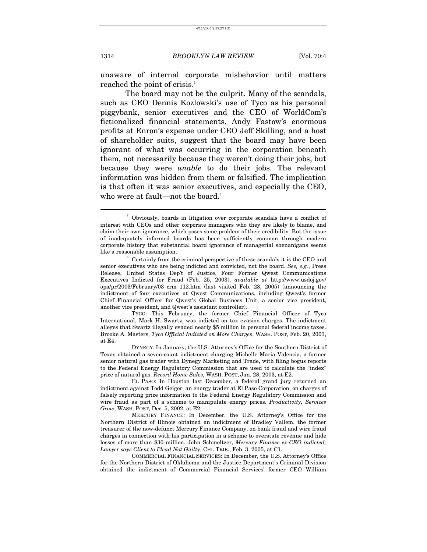unaware of internal corporate misbehavior until matters reached the point of crisis.<sup>2</sup>

The board may not be the culprit. Many of the scandals, such as CEO Dennis Kozlowski's use of Tyco as his personal piggybank, senior executives and the CEO of WorldCom's fictionalized financial statements, Andy Fastow's enormous profits at Enron's expense under CEO Jeff Skilling, and a host of shareholder suits, suggest that the board may have been ignorant of what was occurring in the corporation beneath them, not necessarily because they weren't doing their jobs, but because they were *unable* to do their jobs. The relevant information was hidden from them or falsified. The implication is that often it was senior executives, and especially the CEO, who were at fault—not the board.<sup>3</sup>

 TYCO: This February, the former Chief Financial Officer of Tyco International, Mark H. Swartz, was indicted on tax evasion charges. The indictment alleges that Swartz illegally evaded nearly \$5 million in personal federal income taxes. Brooke A. Masters, *Tyco Official Indicted on More Charges*, WASH. POST, Feb. 20, 2003, at E4.

 DYNEGY: In January, the U.S. Attorney's Office for the Southern District of Texas obtained a seven-count indictment charging Michelle Maria Valencia, a former senior natural gas trader with Dynegy Marketing and Trade, with filing bogus reports to the Federal Energy Regulatory Commission that are used to calculate the "index" price of natural gas. *Record Home Sales*, WASH. POST, Jan. 28, 2003, at E2.

 EL PASO: In Houston last December, a federal grand jury returned an indictment against Todd Geiger, an energy trader at El Paso Corporation, on charges of falsely reporting price information to the Federal Energy Regulatory Commission and wire fraud as part of a scheme to manipulate energy prices. *Productivity, Services Grow*, WASH. POST, Dec. 5, 2002, at E2.

 MERCURY FINANCE: In December, the U.S. Attorney's Office for the Northern District of Illinois obtained an indictment of Bradley Vallem, the former treasurer of the now-defunct Mercury Finance Company, on bank fraud and wire fraud charges in connection with his participation in a scheme to overstate revenue and hide losses of more than \$30 million. John Schmeltzer, *Mercury Finance ex-CEO indicted; Lawyer says Client to Plead Not Guilty*, CHI. TRIB., Feb. 3, 2005, at C1.

 COMMERCIAL FINANCIAL SERVICES: In December, the U.S. Attorney's Office for the Northern District of Oklahoma and the Justice Department's Criminal Division obtained the indictment of Commercial Financial Services' former CEO William

<span id="page-2-0"></span><sup>&</sup>lt;sup>2</sup> Obviously, boards in litigation over corporate scandals have a conflict of interest with CEOs and other corporate managers who they are likely to blame, and claim their own ignorance, which poses some problem of their credibility. But the issue of inadequately informed boards has been sufficiently common through modern corporate history that substantial board ignorance of managerial shenanigans seems like a reasonable assumption.

<span id="page-2-1"></span> $\sigma$ <sup>3</sup> Certainly from the criminal perspective of these scandals it is the CEO and senior executives who are being indicted and convicted, not the board. *See, e.g.*, Press Release, United States Dep't of Justice, Four Former Qwest Communications Executives Indicted for Fraud (Feb. 25, 2003), *available at* http://www.usdoj.gov/ opa/pr/2003/February/03\_crm\_112.htm (last visited Feb. 23, 2005) (announcing the indictment of four executives at Qwest Communications, including Qwest's former Chief Financial Officer for Qwest's Global Business Unit; a senior vice president, another vice president, and Qwest's assistant controller).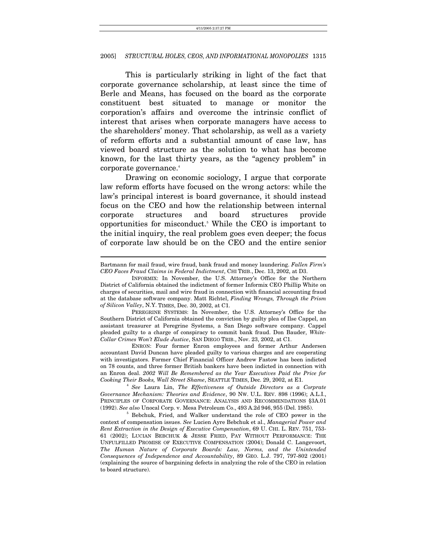This is particularly striking in light of the fact that corporate governance scholarship, at least since the time of Berle and Means, has focused on the board as the corporate constituent best situated to manage or monitor the corporation's affairs and overcome the intrinsic conflict of interest that arises when corporate managers have access to the shareholders' money. That scholarship, as well as a variety of reform efforts and a substantial amount of case law, has viewed board structure as the solution to what has become known, for the last thirty years, as the "agency problem" in corporate governance.<sup>[4](#page-3-0)</sup>

Drawing on economic sociology, I argue that corporate law reform efforts have focused on the wrong actors: while the law's principal interest is board governance, it should instead focus on the CEO and how the relationship between internal corporate structures and board structures provide opportunities for misconduct.5 While the CEO is important to the initial inquiry, the real problem goes even deeper; the focus of corporate law should be on the CEO and the entire senior

 $\overline{a}$ 

 ENRON: Four former Enron employees and former Arthur Andersen accountant David Duncan have pleaded guilty to various charges and are cooperating with investigators. Former Chief Financial Officer Andrew Fastow has been indicted on 78 counts, and three former British bankers have been indicted in connection with an Enron deal. *2002 Will Be Remembered as the Year Executives Paid the Price for* 

<span id="page-3-0"></span>*See Laura Lin, The Effectiveness of Outside Directors as a Corprate Governance Mechanism: Theories and Evidence*, 90 NW. U.L. REV. 898 (1996); A.L.I., PRINCIPLES OF CORPORATE GOVERNANCE: ANALYSIS AND RECOMMENDATIONS §3A.01 (1992). *See also* Unocal Corp. v. Mesa Petroleum Co., <sup>493</sup> A.2d 946, <sup>955</sup> (Del. 1985). 5

<span id="page-3-1"></span> $5$  Bebchuk, Fried, and Walker understand the role of CEO power in the context of compensation issues. *See* Lucien Ayre Bebchuk et al., *Managerial Power and Rent Extraction in the Design of Executive Compensation*, 69 U. CHI. L. REV. 751, 753- 61 (2002); LUCIAN BEBCHUK & JESSE FRIED, PAY WITHOUT PERFORMANCE: THE UNFULFILLED PROMISE OF EXECUTIVE COMPENSATION (2004); Donald C. Langevoort, *The Human Nature of Corporate Boards: Law, Norms, and the Unintended Consequences of Independence and Accountability*, 89 GEO. L.J. 797, 797-802 (2001) (explaining the source of bargaining defects in analyzing the role of the CEO in relation to board structure).

Bartmann for mail fraud, wire fraud, bank fraud and money laundering. *Fallen Firm's CEO Faces Fraud Claims in Federal Indictment*, CHI TRIB., Dec. 13, 2002, at D3.

INFORMIX: In November, the U.S. Attorney's Office for the Northern District of California obtained the indictment of former Informix CEO Phillip White on charges of securities, mail and wire fraud in connection with financial accounting fraud at the database software company. Matt Richtel, *Finding Wrongs, Through the Prism of Silicon Valley*, N.Y. TIMES, Dec. 30, 2002, at C1.

PEREGRINE SYSTEMS: In November, the U.S. Attorney's Office for the Southern District of California obtained the conviction by guilty plea of Ilse Cappel, an assistant treasurer at Peregrine Systems, a San Diego software company. Cappel pleaded guilty to a charge of conspiracy to commit bank fraud. Don Bauder, *White-Collar Crimes Won't Elude Justice*, SAN DIEGO TRIB., Nov. 23, 2002, at C1.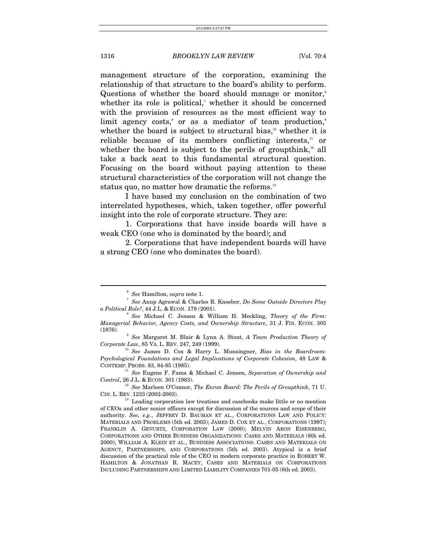management structure of the corporation, examining the relationship of that structure to the board's ability to perform. Questions of whether the board should manage or monitor,<sup>[6](#page-4-0)</sup> whetherits role is political, $\alpha$  whether it should be concerned with the provision of resources as the most efficient way to limitagency costs,<sup>8</sup> or as a mediator of team production,<sup>[9](#page-4-3)</sup> whether the board is subject to structural bias, $\frac{10}{10}$  whether it is reliable because of its members conflicting interests, $\alpha$  or whether the board is subject to the perils of groupthink, $\frac{12}{12}$  all take a back seat to this fundamental structural question. Focusing on the board without paying attention to these structural characteristics of the corporation will not change the status quo, no matter how dramatic the reforms.<sup>[13](#page-4-7)</sup>

I have based my conclusion on the combination of two interrelated hypotheses, which, taken together, offer powerful insight into the role of corporate structure. They are:

1. Corporations that have inside boards will have a weak CEO (one who is dominated by the board); and

2. Corporations that have independent boards will have a strong CEO (one who dominates the board).

<span id="page-4-2"></span><span id="page-4-1"></span><span id="page-4-0"></span><sup>&</sup>lt;sup>6</sup> See Hamilton, *supra* note 1.

*See* Anup Agrawal & Charles R. Knoeber, *Do Some Outside Directors Play a Political Role?*, 44 J.L. & ECON. 179 (2001).

*See* Michael C. Jensen & William H. Meckling, *Theory of the Firm: Managerial Behavior, Agency Costs, and Ownership Structure*, 31 J. FIN. ECON. 305  $(1976).$ 

<span id="page-4-3"></span>*See* Margaret M. Blair & Lynn A. Stout, *A Team Production Theory of* 

<span id="page-4-4"></span><sup>&</sup>lt;sup>10</sup> See James D. Cox & Harry L. Munsingner, *Bias in the Boardroom*: *Psychological Foundations and Legal Implications of Corporate Cohesion*, 48 LAW &

<span id="page-4-5"></span>CONTEMP. PROBS. 83, 84-85 (1985).<br><sup>11</sup> See Eugene F. Fama & Michael C. Jensen, *Separation of Ownership and Control*, 26 J.L. & ECON. 301 (1983).

<span id="page-4-6"></span><sup>&</sup>lt;sup>12</sup> See Marleen O'Connor, *The Enron Board: The Perils of Groupthink*, 71 U. CIN. L. REV. <sup>1233</sup> (2002-2003). 13 Leading corporation law treatises and casebooks make little or no mention

<span id="page-4-7"></span>of CEOs and other senior officers except for discussion of the sources and scope of their authority. *See, e.g.*, JEFFREY D. BAUMAN ET AL., CORPORATIONS LAW AND POLICY: MATERIALS AND PROBLEMS (5th ed. 2003); JAMES D. COX ET AL., CORPORATIONS (1997); FRANKLIN A. GEVURTZ, CORPORATION LAW (2000); MELVIN ARON EISENBERG, CORPORATIONS AND OTHER BUSINESS ORGANIZATIONS: CASES AND MATERIALS (8th ed. 2000); WILLIAM A. KLEIN ET AL., BUSINESS ASSOCIATIONS: CASES AND MATERIALS ON AGENCY, PARTNERSHIPS, AND CORPORATIONS (5th ed. 2003). Atypical is a brief discussion of the practical role of the CEO in modern corporate practice in ROBERT W. HAMILTON & JONATHAN R. MACEY, CASES AND MATERIALS ON CORPORATIONS INCLUDING PARTNERSHIPS AND LIMITED LIABILITY COMPANIES 701-05 (8th ed. 2003).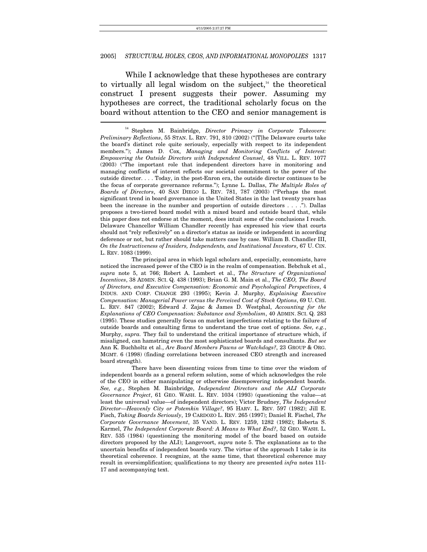While I acknowledge that these hypotheses are contrary to virtually all legal wisdom on the subject, $14$  the theoretical construct I present suggests their power. Assuming my hypotheses are correct, the traditional scholarly focus on the board without attention to the CEO and senior management is

 There have been dissenting voices from time to time over the wisdom of independent boards as a general reform solution, some of which acknowledges the role of the CEO in either manipulating or otherwise disempowering independent boards. *See, e.g.*, Stephen M. Bainbridge, *Independent Directors and the ALI Corporate Governance Project*, 61 GEO. WASH. L. REV. 1034 (1993) (questioning the value—at least the universal value—of independent directors); Victor Brudney, *The Independent Director*—*Heavenly City or Potemkin Village?*, 95 HARV. L. REV. 597 (1982); Jill E. Fisch, *Taking Boards Seriously*, 19 CARDOZO L. REV. 265 (1997); Daniel R. Fischel, *The Corporate Governance Movement*, 35 VAND. L. REV. 1259, 1282 (1982); Roberta S. Karmel, *The Independent Corporate Board: A Means to What End?*, 52 GEO. WASH. L. REV. 535 (1984) (questioning the monitoring model of the board based on outside directors proposed by the ALI); Langevoort, *supra* note 5. The explanations as to the uncertain benefits of independent boards vary. The virtue of the approach I take is its theoretical coherence. I recognize, at the same time, that theoretical coherence may result in oversimplification; qualifications to my theory are presented *infra* notes 111- 17 and accompanying text.

<span id="page-5-0"></span><sup>14</sup> Stephen M. Bainbridge, *Director Primacy in Corporate Takeovers: Preliminary Reflections*, 55 STAN. L. REV. 791, 810 (2002) ("[T]he Delaware courts take the board's distinct role quite seriously, especially with respect to its independent members."); James D. Cox, *Managing and Monitoring Conflicts of Interest: Empowering the Outside Directors with Independent Counsel*, 48 VILL. L. REV. 1077 (2003) ("The important role that independent directors have in monitoring and managing conflicts of interest reflects our societal commitment to the power of the outside director. . . . Today, in the post-Enron era, the outside director continues to be the focus of corporate governance reforms."); Lynne L. Dallas, *The Multiple Roles of Boards of Directors*, 40 SAN DIEGO L. REV. 781, 787 (2003) ("Perhaps the most significant trend in board governance in the United States in the last twenty years has been the increase in the number and proportion of outside directors . . . ."). Dallas proposes a two-tiered board model with a mixed board and outside board that, while this paper does not endorse at the moment, does intuit some of the conclusions I reach. Delaware Chancellor William Chandler recently has expressed his view that courts should not "rely reflexively" on a director's status as inside or independent in according deference or not, but rather should take matters case by case. William B. Chandler III, *On the Instructiveness of Insiders, Independents, and Institutional Investors*, 67 U. CIN. L. REV. 1083 (1999).

The principal area in which legal scholars and, especially, economists, have noticed the increased power of the CEO is in the realm of compensation. Bebchuk et al., *supra* note 5, at 766; Robert A. Lambert et al., *The Structure of Organizational Incentives*, 38 ADMIN. SCI. Q. 438 (1993); Brian G. M. Main et al., *The CEO, The Board of Directors, and Executive Compensation: Economic and Psychological Perspectives*, 4 INDUS. AND CORP. CHANGE 293 (1995); Kevin J. Murphy, *Explaining Executive Compensation: Managerial Power versus the Perceived Cost of Stock Options*, 69 U. CHI. L. REV. 847 (2002); Edward J. Zajac & James D. Westphal, *Accounting for the Explanations of CEO Compensation: Substance and Symbolism*, 40 ADMIN. SCI. Q. 283 (1995). These studies generally focus on market imperfections relating to the failure of outside boards and consulting firms to understand the true cost of options. *See, e.g.*, Murphy, *supra.* They fail to understand the critical importance of structure which, if misaligned, can hamstring even the most sophisticated boards and consultants. *But see* Ann K. Buchholtz et al., *Are Board Members Pawns or Watchdogs?*, 23 GROUP & ORG. MGMT. 6 (1998) (finding correlations between increased CEO strength and increased board strength).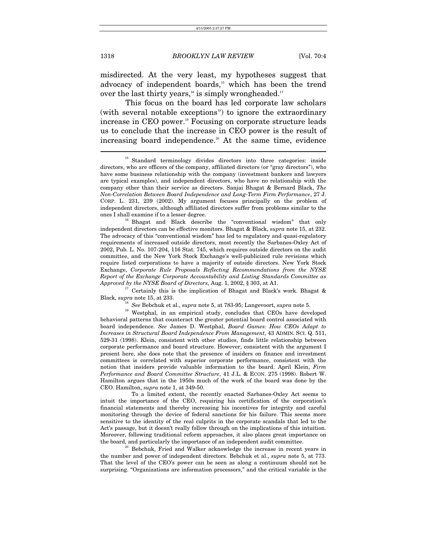misdirected. At the very least, my hypotheses suggest that advocacy of independent boards,<sup>15</sup> which has been the trend over the last thirty years,<sup>16</sup> is simply wrongheaded.<sup>[17](#page-6-2)</sup>

This focus on the board has led corporate law scholars (with several notable exceptions<sup>18</sup>) to ignore the extraordinary increase in CEO power.<sup>19</sup> Focusing on corporate structure leads us to conclude that the increase in CEO power is the result of increasing board independence.<sup>20</sup> At the same time, evidence  $\overline{a}$ 

<span id="page-6-1"></span>ones I shall examine if to a lesser degree.<br><sup>16</sup> Bhagat and Black describe the "conventional wisdom" that only independent directors can be effective monitors. Bhagat & Black, *supra* note 15, at 232. The advocacy of this "conventional wisdom" has led to regulatory and quasi-regulatory requirements of increased outside directors, most recently the Sarbanes-Oxley Act of 2002, Pub. L. No. 107-204, 116 Stat. 745, which requires outside directors on the audit committee, and the New York Stock Exchange's well-publicized rule revisions which require listed corporations to have a majority of outside directors. New York Stock Exchange, *Corporate Rule Proposals Reflecting Recommendations from the NYSE Report of the Exchange Corporate Accountability and Listing Standards Committee as* 

<sup>17</sup> Certainly this is the implication of Bhagat and Black's work. Bhagat & Black, *supra* note 15, at 233.

<span id="page-6-4"></span><span id="page-6-3"></span><span id="page-6-2"></span>

<sup>18</sup> *See* Bebchuk et al., *supra* note 5, at 783-95; Langevoort, *supra* note 5. <sup>19</sup> Westphal, in an empirical study, concludes that CEOs have developed behavioral patterns that counteract the greater potential board control associated with board independence. *See* James D. Westphal, *Board Games: How CEOs Adapt to Increases in Structural Board Independence From Management*, 43 ADMIN. SCI. Q. 511, 529-31 (1998). Klein, consistent with other studies, finds little relationship between corporate performance and board structure. However, consistent with the argument I present here, she does note that the presence of insiders on finance and investment committees is correlated with superior corporate performance, consistent with the notion that insiders provide valuable information to the board. April Klein, *Firm Performance and Board Committee Structure*, 41 J.L. & ECON. 275 (1998). Robert W. Hamilton argues that in the 1950s much of the work of the board was done by the CEO. Hamilton, *supra* note 1, at 349-50.

 To a limited extent, the recently enacted Sarbanes-Oxley Act seems to intuit the importance of the CEO, requiring his certification of the corporation's financial statements and thereby increasing his incentives for integrity and careful monitoring through the device of federal sanctions for his failure. This seems more sensitive to the identity of the real culprits in the corporate scandals that led to the Act's passage, but it doesn't really follow through on the implications of this intuition. Moreover, following traditional reform approaches, it also places great importance on the board, and particularly the importance of an independent audit committee.<br><sup>20</sup> Bebchuk, Fried and Walker acknowledge the increase in recent years in

<span id="page-6-5"></span>the number and power of independent directors. Bebchuk et al., *supra* note 5, at 773. That the level of the CEO's power can be seen as along a continuum should not be surprising. "Organizations are information processors," and the critical variable is the

<span id="page-6-0"></span><sup>&</sup>lt;sup>15</sup> Standard terminology divides directors into three categories: inside directors, who are officers of the company, affiliated directors (or "gray directors"), who have some business relationship with the company (investment bankers and lawyers are typical examples), and independent directors, who have no relationship with the company other than their service as directors. Sanjai Bhagat & Bernard Black, *The Non-Correlation Between Board Independence and Long-Term Firm Performance*, 27 J. CORP. L. 231, 239 (2002). My argument focuses principally on the problem of independent directors, although affiliated directors suffer from problems similar to the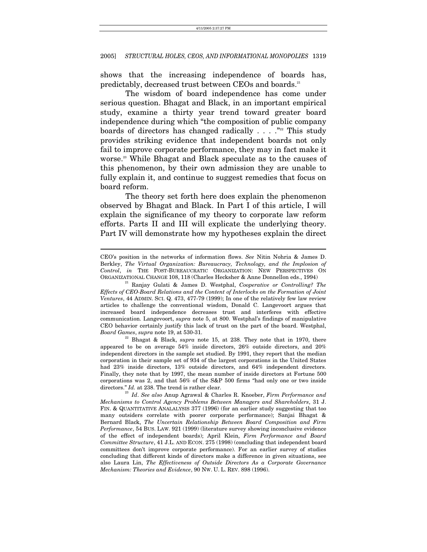shows that the increasing independence of boards has, predictably, decreased trust between CEOs and boards.<sup>[21](#page-7-0)</sup>

The wisdom of board independence has come under serious question. Bhagat and Black, in an important empirical study, examine a thirty year trend toward greater board independence during which "the composition of public company boards of directors has changed radically  $\ldots$   $\ldots$   $\ldots$  This study provides striking evidence that independent boards not only fail to improve corporate performance, they may in fact make it worse.<sup>23</sup> While Bhagat and Black speculate as to the causes of this phenomenon, by their own admission they are unable to fully explain it, and continue to suggest remedies that focus on board reform.

The theory set forth here does explain the phenomenon observed by Bhagat and Black. In Part I of this article, I will explain the significance of my theory to corporate law reform efforts. Parts II and III will explicate the underlying theory. Part IV will demonstrate how my hypotheses explain the direct

 $\overline{a}$ 

<span id="page-7-1"></span>appeared to be on average 54% inside directors, 26% outside directors, and 20% independent directors in the sample set studied. By 1991, they report that the median corporation in their sample set of 934 of the largest corporations in the United States had 23% inside directors, 13% outside directors, and 64% independent directors. Finally, they note that by 1997, the mean number of inside directors at Fortune 500 corporations was 2, and that 56% of the S&P 500 firms "had only one or two inside directors." *Id.* at 238. The trend is rather clear. 23 *Id*. *See also* Anup Agrawal & Charles R. Knoeber, *Firm Performance and* 

CEO's position in the networks of information flows. *See* Nitin Nohria & James D. Berkley, *The Virtual Organization: Bureaucracy, Technology, and the Implosion of Control*, *in* THE POST-BUREAUCRATIC ORGANIZATION: NEW PERSPECTIVES ON

<span id="page-7-0"></span>ORGANIZATIONAL CHANGE 108, <sup>118</sup> (Charles Hecksher & Anne Donnellon eds., 1994) 21 Ranjay Gulati & James D. Westphal, *Cooperative or Controlling? The Effects of CEO-Board Relations and the Content of Interlocks on the Formation of Joint Ventures*, 44 ADMIN. SCI. Q. 473, 477-79 (1999); In one of the relatively few law review articles to challenge the conventional wisdom, Donald C. Langevoort argues that increased board independence decreases trust and interferes with effective communication. Langevoort, *supra* note 5, at 800. Westphal's findings of manipulative CEO behavior certainly justify this lack of trust on the part of the board. Westphal, *Board Games, supra* note 19, at 530-31.<br><sup>22</sup> Bhagat & Black, *supra* note 15, at 238. They note that in 1970, there

<span id="page-7-2"></span>*Mechanisms to Control Agency Problems Between Managers and Shareholders*, 31 J. FIN. & QUANTITATIVE ANALALYSIS 377 (1996) (for an earlier study suggesting that too many outsiders correlate with poorer corporate performance); Sanjai Bhagat & Bernard Black, *The Uncertain Relationship Between Board Composition and Firm Performance*, 54 BUS. LAW. 921 (1999) (literature survey showing inconclusive evidence of the effect of independent boards); April Klein, *Firm Performance and Board Committee Structure*, 41 J.L. AND ECON. 275 (1998) (concluding that independent board committees don't improve corporate performance). For an earlier survey of studies concluding that different kinds of directors make a difference in given situations, see also Laura Lin, *The Effectiveness of Outside Directors As a Corporate Governance Mechanism: Theories and Evidence*, 90 NW. U. L. REV. 898 (1996).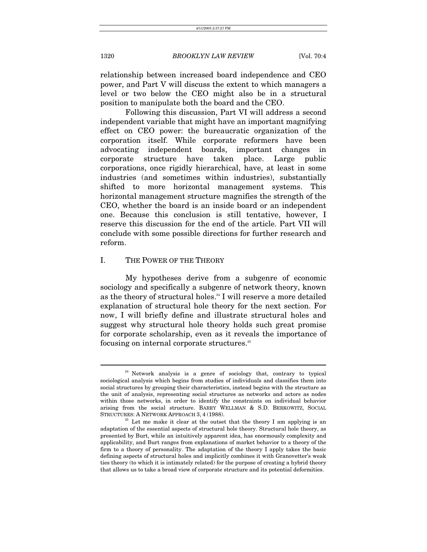relationship between increased board independence and CEO power, and Part V will discuss the extent to which managers a level or two below the CEO might also be in a structural position to manipulate both the board and the CEO.

Following this discussion, Part VI will address a second independent variable that might have an important magnifying effect on CEO power: the bureaucratic organization of the corporation itself. While corporate reformers have been advocating independent boards, important changes in corporate structure have taken place. Large public corporations, once rigidly hierarchical, have, at least in some industries (and sometimes within industries), substantially shifted to more horizontal management systems. This horizontal management structure magnifies the strength of the CEO, whether the board is an inside board or an independent one. Because this conclusion is still tentative, however, I reserve this discussion for the end of the article. Part VII will conclude with some possible directions for further research and reform.

## I. THE POWER OF THE THEORY

My hypotheses derive from a subgenre of economic sociology and specifically a subgenre of network theory, known as the theory of structural holes.<sup>24</sup> I will reserve a more detailed explanation of structural hole theory for the next section. For now, I will briefly define and illustrate structural holes and suggest why structural hole theory holds such great promise for corporate scholarship, even as it reveals the importance of focusing on internal corporate structures.[25](#page-8-1)

<span id="page-8-0"></span> $24$  Network analysis is a genre of sociology that, contrary to typical sociological analysis which begins from studies of individuals and classifies them into social structures by grouping their characteristics, instead begins with the structure as the unit of analysis, representing social structures as networks and actors as nodes within those networks, in order to identify the constraints on individual behavior arising from the social structure. BARRY WELLMAN & S.D. BERKOWITZ, SOCIAL STRUCTURES: A NETWORK APPROACH 3, 4 (1988).

<span id="page-8-1"></span> $25$  Let me make it clear at the outset that the theory I am applying is an adaptation of the essential aspects of structural hole theory. Structural hole theory, as presented by Burt, while an intuitively apparent idea, has enormously complexity and applicability, and Burt ranges from explanations of market behavior to a theory of the firm to a theory of personality. The adaptation of the theory I apply takes the basic defining aspects of structural holes and implicitly combines it with Granovetter's weak ties theory (to which it is intimately related) for the purpose of creating a hybrid theory that allows us to take a broad view of corporate structure and its potential deformities.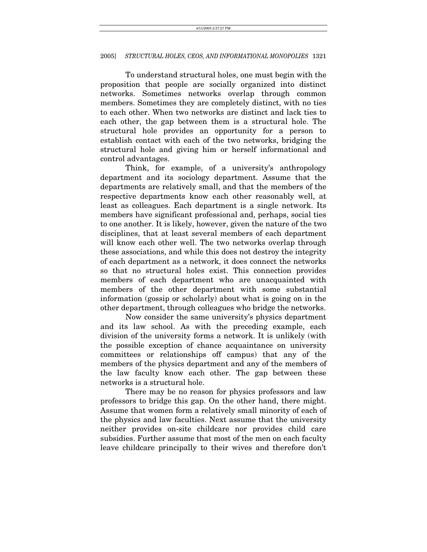To understand structural holes, one must begin with the proposition that people are socially organized into distinct networks. Sometimes networks overlap through common members. Sometimes they are completely distinct, with no ties to each other. When two networks are distinct and lack ties to each other, the gap between them is a structural hole. The structural hole provides an opportunity for a person to establish contact with each of the two networks, bridging the structural hole and giving him or herself informational and control advantages.

Think, for example, of a university's anthropology department and its sociology department. Assume that the departments are relatively small, and that the members of the respective departments know each other reasonably well, at least as colleagues. Each department is a single network. Its members have significant professional and, perhaps, social ties to one another. It is likely, however, given the nature of the two disciplines, that at least several members of each department will know each other well. The two networks overlap through these associations, and while this does not destroy the integrity of each department as a network, it does connect the networks so that no structural holes exist. This connection provides members of each department who are unacquainted with members of the other department with some substantial information (gossip or scholarly) about what is going on in the other department, through colleagues who bridge the networks.

Now consider the same university's physics department and its law school. As with the preceding example, each division of the university forms a network. It is unlikely (with the possible exception of chance acquaintance on university committees or relationships off campus) that any of the members of the physics department and any of the members of the law faculty know each other. The gap between these networks is a structural hole.

There may be no reason for physics professors and law professors to bridge this gap. On the other hand, there might. Assume that women form a relatively small minority of each of the physics and law faculties. Next assume that the university neither provides on-site childcare nor provides child care subsidies. Further assume that most of the men on each faculty leave childcare principally to their wives and therefore don't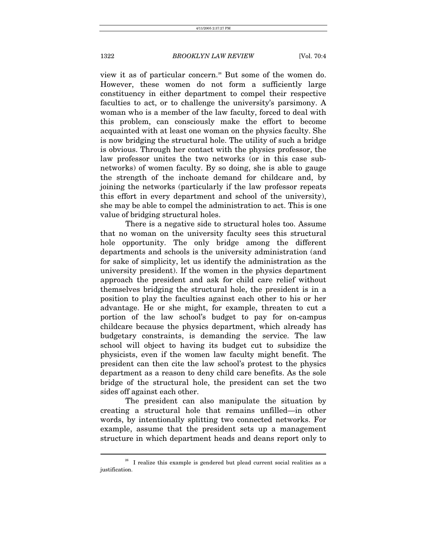view it as of particular concern.<sup>26</sup> But some of the women do. However, these women do not form a sufficiently large constituency in either department to compel their respective faculties to act, or to challenge the university's parsimony. A woman who is a member of the law faculty, forced to deal with this problem, can consciously make the effort to become acquainted with at least one woman on the physics faculty. She is now bridging the structural hole. The utility of such a bridge is obvious. Through her contact with the physics professor, the law professor unites the two networks (or in this case subnetworks) of women faculty. By so doing, she is able to gauge the strength of the inchoate demand for childcare and, by joining the networks (particularly if the law professor repeats this effort in every department and school of the university), she may be able to compel the administration to act. This is one value of bridging structural holes.

There is a negative side to structural holes too. Assume that no woman on the university faculty sees this structural hole opportunity. The only bridge among the different departments and schools is the university administration (and for sake of simplicity, let us identify the administration as the university president). If the women in the physics department approach the president and ask for child care relief without themselves bridging the structural hole, the president is in a position to play the faculties against each other to his or her advantage. He or she might, for example, threaten to cut a portion of the law school's budget to pay for on-campus childcare because the physics department, which already has budgetary constraints, is demanding the service. The law school will object to having its budget cut to subsidize the physicists, even if the women law faculty might benefit. The president can then cite the law school's protest to the physics department as a reason to deny child care benefits. As the sole bridge of the structural hole, the president can set the two sides off against each other.

The president can also manipulate the situation by creating a structural hole that remains unfilled—in other words, by intentionally splitting two connected networks. For example, assume that the president sets up a management structure in which department heads and deans report only to

<span id="page-10-0"></span> $26$  I realize this example is gendered but plead current social realities as a justification.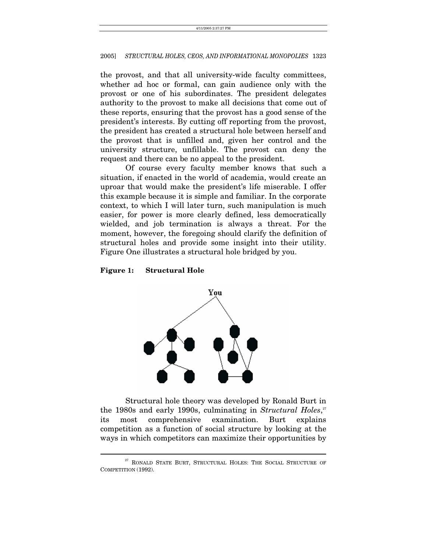the provost, and that all university-wide faculty committees, whether ad hoc or formal, can gain audience only with the provost or one of his subordinates. The president delegates authority to the provost to make all decisions that come out of these reports, ensuring that the provost has a good sense of the president's interests. By cutting off reporting from the provost, the president has created a structural hole between herself and the provost that is unfilled and, given her control and the university structure, unfillable. The provost can deny the request and there can be no appeal to the president.

Of course every faculty member knows that such a situation, if enacted in the world of academia, would create an uproar that would make the president's life miserable. I offer this example because it is simple and familiar. In the corporate context, to which I will later turn, such manipulation is much easier, for power is more clearly defined, less democratically wielded, and job termination is always a threat. For the moment, however, the foregoing should clarify the definition of structural holes and provide some insight into their utility. Figure One illustrates a structural hole bridged by you.

#### **Figure 1: Structural Hole**



Structural hole theory was developed by Ronald Burt in the 1980s and early 1990s, culminating in *Structural Holes*,<sup>[27](#page-11-0)</sup> its most comprehensive examination. Burt explains competition as a function of social structure by looking at the ways in which competitors can maximize their opportunities by

 $^{27}$  RONALD STATE BURT, STRUCTURAL HOLES: THE SOCIAL STRUCTURE OF COMPETITION (1992).

<span id="page-11-0"></span>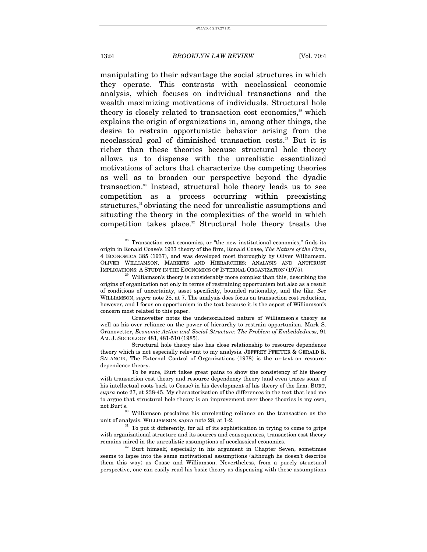manipulating to their advantage the social structures in which they operate. This contrasts with neoclassical economic analysis, which focuses on individual transactions and the wealth maximizing motivations of individuals. Structural hole theory is closely related to transaction cost economics,<sup>28</sup> which explains the origin of organizations in, among other things, the desire to restrain opportunistic behavior arising from the neoclassical goal of diminished transaction costs.<sup>29</sup> But it is richer than these theories because structural hole theory allows us to dispense with the unrealistic essentialized motivations of actors that characterize the competing theories as well as to broaden our perspective beyond the dyadic transaction[.30](#page-12-2) Instead, structural hole theory leads us to see competition as a process occurring within preexisting structures,<sup>[31](#page-12-3)</sup> obviating the need for unrealistic assumptions and situating the theory in the complexities of the world in which competition takes place.<sup>32</sup> Structural hole theory treats the

 Granovetter notes the undersocialized nature of Williamson's theory as well as his over reliance on the power of hierarchy to restrain opportunism. Mark S. Granovetter, *Economic Action and Social Structure: The Problem of Embeddedness*, 91 AM. J. SOCIOLOGY 481, 481-510 (1985).

 Structural hole theory also has close relationship to resource dependence theory which is not especially relevant to my analysis. JEFFREY PFEFFER & GERALD R. SALANCIK, The External Control of Organizations (1978) is the ur-text on resource dependence theory.

<span id="page-12-2"></span>unit of analysis. WILLIAMSON, *supra* note 28, at 1-2.<br><sup>31</sup> To put it differently, for all of its sophistication in trying to come to grips

<span id="page-12-3"></span>with organizational structure and its sources and consequences, transaction cost theory remains mired in the unrealistic assumptions of neoclassical economics. 32 Burt himself, especially in his argument in Chapter Seven, sometimes

<span id="page-12-4"></span>seems to lapse into the same motivational assumptions (although he doesn't describe them this way) as Coase and Williamson. Nevertheless, from a purely structural perspective, one can easily read his basic theory as dispensing with these assumptions

<span id="page-12-0"></span> $28$  Transaction cost economics, or "the new institutional economics," finds its origin in Ronald Coase's 1937 theory of the firm, Ronald Coase, *The Nature of the Firm*, 4 ECONOMICA 385 (1937), and was developed most thoroughly by Oliver Williamson. OLIVER WILLIAMSON, MARKETS AND HIERARCHIES: ANALYSIS AND ANTITRUST IMPLICATIONS: A STUDY IN THE ECONOMICS OF INTERNAL ORGANIZATION (1975).<br><sup>29</sup> Williamson's theory is considerably more complex than this, describing the

<span id="page-12-1"></span>origins of organization not only in terms of restraining opportunism but also as a result of conditions of uncertainty, asset specificity, bounded rationality, and the like. *See*  WILLIAMSON, *supra* note 28, at 7. The analysis does focus on transaction cost reduction, however, and I focus on opportunism in the text because it is the aspect of Williamson's concern most related to this paper.

To be sure, Burt takes great pains to show the consistency of his theory with transaction cost theory and resource dependency theory (and even traces some of his intellectual roots back to Coase) in his development of his theory of the firm. BURT, *supra* note 27, at 238-45. My characterization of the differences in the text that lead me to argue that structural hole theory is an improvement over these theories is my own, not Burt's.<br><sup>30</sup> Williamson proclaims his unrelenting reliance on the transaction as the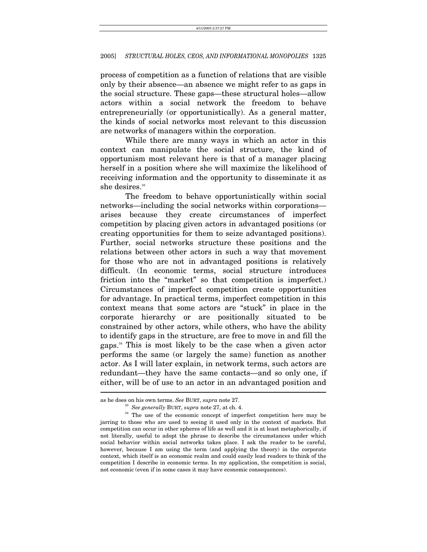process of competition as a function of relations that are visible only by their absence—an absence we might refer to as gaps in the social structure. These gaps—these structural holes—allow actors within a social network the freedom to behave entrepreneurially (or opportunistically). As a general matter, the kinds of social networks most relevant to this discussion are networks of managers within the corporation.

While there are many ways in which an actor in this context can manipulate the social structure, the kind of opportunism most relevant here is that of a manager placing herself in a position where she will maximize the likelihood of receiving information and the opportunity to disseminate it as she desires.<sup>33</sup>

The freedom to behave opportunistically within social networks—including the social networks within corporations arises because they create circumstances of imperfect competition by placing given actors in advantaged positions (or creating opportunities for them to seize advantaged positions). Further, social networks structure these positions and the relations between other actors in such a way that movement for those who are not in advantaged positions is relatively difficult. (In economic terms, social structure introduces friction into the "market" so that competition is imperfect.) Circumstances of imperfect competition create opportunities for advantage. In practical terms, imperfect competition in this context means that some actors are "stuck" in place in the corporate hierarchy or are positionally situated to be constrained by other actors, while others, who have the ability to identify gaps in the structure, are free to move in and fill the gaps.[34](#page-13-1) This is most likely to be the case when a given actor performs the same (or largely the same) function as another actor. As I will later explain, in network terms, such actors are redundant—they have the same contacts—and so only one, if either, will be of use to an actor in an advantaged position and j

<span id="page-13-1"></span><span id="page-13-0"></span>

as he does on his own terms. *See BURT, supra* note 27.<br><sup>33</sup> *See generally BURT, supra* note 27, at ch. 4.<br><sup>34</sup> The use of the economic concept of imperfect competition here may be jarring to those who are used to seeing it used only in the context of markets. But competition can occur in other spheres of life as well and it is at least metaphorically, if not literally, useful to adopt the phrase to describe the circumstances under which social behavior within social networks takes place. I ask the reader to be careful, however, because I am using the term (and applying the theory) in the corporate context, which itself is an economic realm and could easily lead readers to think of the competition I describe in economic terms. In my application, the competition is social, not economic (even if in some cases it may have economic consequences).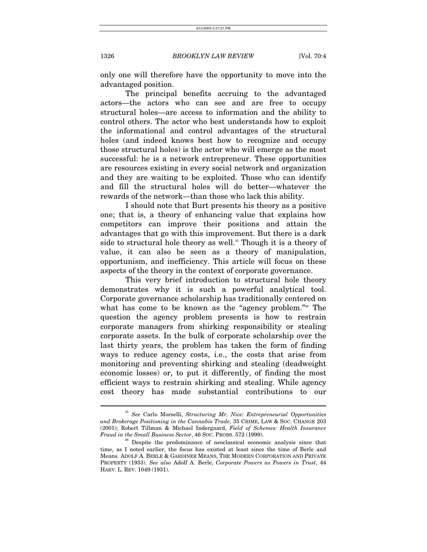only one will therefore have the opportunity to move into the advantaged position.

The principal benefits accruing to the advantaged actors—the actors who can see and are free to occupy structural holes—are access to information and the ability to control others. The actor who best understands how to exploit the informational and control advantages of the structural holes (and indeed knows best how to recognize and occupy those structural holes) is the actor who will emerge as the most successful: he is a network entrepreneur. These opportunities are resources existing in every social network and organization and they are waiting to be exploited. Those who can identify and fill the structural holes will do better—whatever the rewards of the network—than those who lack this ability.

I should note that Burt presents his theory as a positive one; that is, a theory of enhancing value that explains how competitors can improve their positions and attain the advantages that go with this improvement. But there is a dark side to structural hole theory as well.<sup>35</sup> Though it is a theory of value, it can also be seen as a theory of manipulation, opportunism, and inefficiency. This article will focus on these aspects of the theory in the context of corporate governance.

This very brief introduction to structural hole theory demonstrates why it is such a powerful analytical tool. Corporate governance scholarship has traditionally centered on what has come to be known as the "agency problem."<sup>36</sup> The question the agency problem presents is how to restrain corporate managers from shirking responsibility or stealing corporate assets. In the bulk of corporate scholarship over the last thirty years, the problem has taken the form of finding ways to reduce agency costs, i.e., the costs that arise from monitoring and preventing shirking and stealing (deadweight economic losses) or, to put it differently, of finding the most efficient ways to restrain shirking and stealing. While agency cost theory has made substantial contributions to our

<span id="page-14-0"></span><sup>35</sup> *See* Carlo Morselli, *Structuring Mr. Nice: Entrepreneurial Opportunities and Brokerage Positioning in the Cannabis Trade*, 35 CRIME, LAW & SOC. CHANGE 203 (2001); Robert Tillman & Michael Indergaard, *Field of Schemes: Health Insurance Fraud in the Small Business Sector*, 46 SOC. PROBS. 572 (1999).<br><sup>36</sup> Despite the predominance of neoclassical economic analysis since that

<span id="page-14-1"></span>time, as I noted earlier, the focus has existed at least since the time of Berle and Means. ADOLF A. BERLE & GARDINER MEANS, THE MODERN CORPORATION AND PRIVATE PROPERTY (1933). *See also* Adolf A. Berle, *Corporate Powers as Powers in Trust*, 44 HARV. L. REV. 1049 (1931).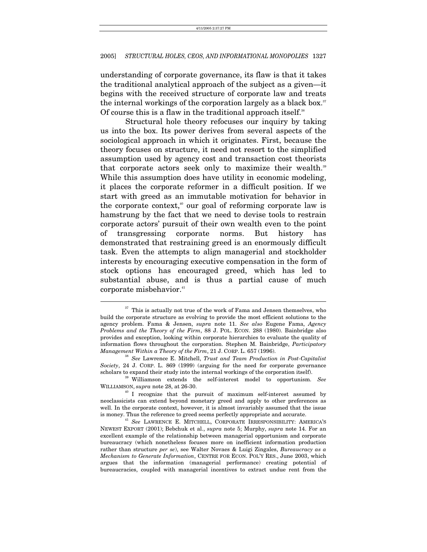understanding of corporate governance, its flaw is that it takes the traditional analytical approach of the subject as a given—it begins with the received structure of corporate law and treats the internal workings of the corporation largely as a black box.<sup>37</sup> Of course this is a flaw in the traditional approach itself.<sup>38</sup>

Structural hole theory refocuses our inquiry by taking us into the box. Its power derives from several aspects of the sociological approach in which it originates. First, because the theory focuses on structure, it need not resort to the simplified assumption used by agency cost and transaction cost theorists that corporate actors seek only to maximize their wealth.<sup>[39](#page-15-2)</sup> While this assumption does have utility in economic modeling, it places the corporate reformer in a difficult position. If we start with greed as an immutable motivation for behavior in the corporate context,<sup> $40$ </sup> our goal of reforming corporate law is hamstrung by the fact that we need to devise tools to restrain corporate actors' pursuit of their own wealth even to the point of transgressing corporate norms. But history has demonstrated that restraining greed is an enormously difficult task. Even the attempts to align managerial and stockholder interests by encouraging executive compensation in the form of stock options has encouraged greed, which has led to substantial abuse, and is thus a partial cause of much corporate misbehavior.<sup>[41](#page-15-4)</sup>

<span id="page-15-0"></span> $\mathrm{^{37}}$  This is actually not true of the work of Fama and Jensen themselves, who build the corporate structure as evolving to provide the most efficient solutions to the agency problem. Fama & Jensen, *supra* note 11. *See also* Eugene Fama, *Agency Problems and the Theory of the Firm*, 88 J. POL. ECON. 288 (1980). Bainbridge also provides and exception, looking within corporate hierarchies to evaluate the quality of information flows throughout the corporation. Stephen M. Bainbridge, *Participatory* 

<span id="page-15-1"></span><sup>&</sup>lt;sup>38</sup> See Lawrence E. Mitchell, *Trust and Team Production in Post-Capitalist Society*, 24 J. CORP. L. 869 (1999) (arguing for the need for corporate governance

<span id="page-15-2"></span> $\overset{\text{39}}{\text{Williamson}}$  extends the self-interest model to opportunism. *See* WILLIAMSON, *supra* note 28, at 26-30.

<span id="page-15-3"></span><sup>&</sup>lt;sup>40</sup> I recognize that the pursuit of maximum self-interest assumed by neoclassicists can extend beyond monetary greed and apply to other preferences as well. In the corporate context, however, it is almost invariably assumed that the issue is money. Thus the reference to greed seems perfectly appropriate and accurate.

<span id="page-15-4"></span><sup>&</sup>lt;sup>41</sup> See LAWRENCE E. MITCHELL, CORPORATE IRRESPONSIBILITY: AMERICA'S NEWEST EXPORT (2001); Bebchuk et al., *supra* note 5; Murphy, *supra* note 14. For an excellent example of the relationship between managerial opportunism and corporate bureaucracy (which nonetheless focuses more on inefficient information production rather than structure *per se*), see Walter Novaes & Luigi Zingales, *Bureaucracy as a Mechanism to Generate Information*, CENTRE FOR ECON. POL'Y RES., June 2003, which argues that the information (managerial performance) creating potential of bureaucracies, coupled with managerial incentives to extract undue rent from the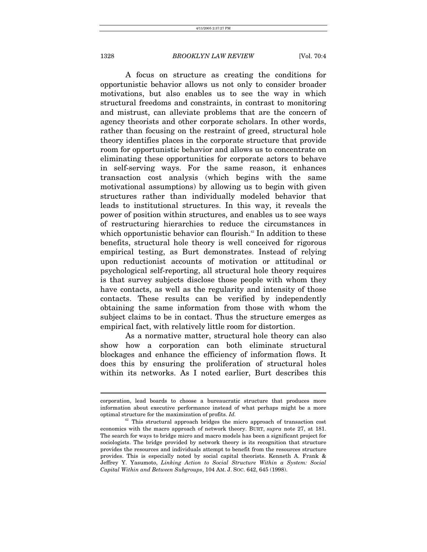$\overline{a}$ 

## 1328 *BROOKLYN LAW REVIEW* [Vol. 70:4

A focus on structure as creating the conditions for opportunistic behavior allows us not only to consider broader motivations, but also enables us to see the way in which structural freedoms and constraints, in contrast to monitoring and mistrust, can alleviate problems that are the concern of agency theorists and other corporate scholars. In other words, rather than focusing on the restraint of greed, structural hole theory identifies places in the corporate structure that provide room for opportunistic behavior and allows us to concentrate on eliminating these opportunities for corporate actors to behave in self-serving ways. For the same reason, it enhances transaction cost analysis (which begins with the same motivational assumptions) by allowing us to begin with given structures rather than individually modeled behavior that leads to institutional structures. In this way, it reveals the power of position within structures, and enables us to see ways of restructuring hierarchies to reduce the circumstances in which opportunistic behavior can flourish.<sup>42</sup> In addition to these benefits, structural hole theory is well conceived for rigorous empirical testing, as Burt demonstrates. Instead of relying upon reductionist accounts of motivation or attitudinal or psychological self-reporting, all structural hole theory requires is that survey subjects disclose those people with whom they have contacts, as well as the regularity and intensity of those contacts. These results can be verified by independently obtaining the same information from those with whom the subject claims to be in contact. Thus the structure emerges as empirical fact, with relatively little room for distortion.

As a normative matter, structural hole theory can also show how a corporation can both eliminate structural blockages and enhance the efficiency of information flows. It does this by ensuring the proliferation of structural holes within its networks. As I noted earlier, Burt describes this

corporation, lead boards to choose a bureaucratic structure that produces more information about executive performance instead of what perhaps might be a more optimal structure for the maximization of profits. *Id.* 

<span id="page-16-0"></span> $42$  This structural approach bridges the micro approach of transaction cost economics with the macro approach of network theory. BURT, *supra* note 27, at 181. The search for ways to bridge micro and macro models has been a significant project for sociologists. The bridge provided by network theory is its recognition that structure provides the resources and individuals attempt to benefit from the resources structure provides. This is especially noted by social capital theorists. Kenneth A. Frank & Jeffrey Y. Yasumoto, *Linking Action to Social Structure Within a System: Social Capital Within and Between Subgroups*, 104 AM. J. SOC. 642, 645 (1998).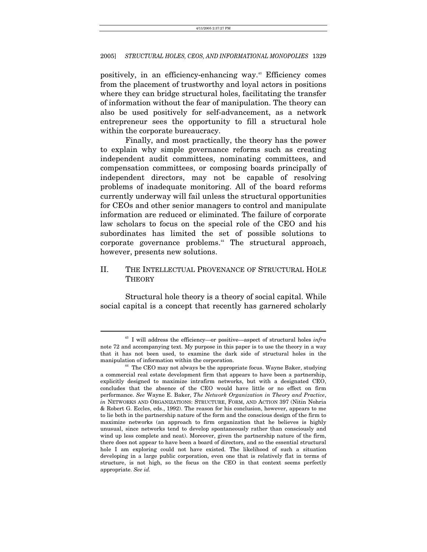positively, in an efficiency-enhancing way.[43](#page-17-0) Efficiency comes from the placement of trustworthy and loyal actors in positions where they can bridge structural holes, facilitating the transfer of information without the fear of manipulation. The theory can also be used positively for self-advancement, as a network entrepreneur sees the opportunity to fill a structural hole within the corporate bureaucracy.

Finally, and most practically, the theory has the power to explain why simple governance reforms such as creating independent audit committees, nominating committees, and compensation committees, or composing boards principally of independent directors, may not be capable of resolving problems of inadequate monitoring. All of the board reforms currently underway will fail unless the structural opportunities for CEOs and other senior managers to control and manipulate information are reduced or eliminated. The failure of corporate law scholars to focus on the special role of the CEO and his subordinates has limited the set of possible solutions to corporate governance problems.<sup>44</sup> The structural approach, however, presents new solutions.

## II. THE INTELLECTUAL PROVENANCE OF STRUCTURAL HOLE **THEORY**

Structural hole theory is a theory of social capital. While social capital is a concept that recently has garnered scholarly

<span id="page-17-0"></span><sup>43</sup> I will address the efficiency—or positive—aspect of structural holes *infra*  note 72 and accompanying text. My purpose in this paper is to use the theory in a way that it has not been used, to examine the dark side of structural holes in the

<span id="page-17-1"></span>manipulation of information within the corporation. 44 The CEO may not always be the appropriate focus. Wayne Baker, studying a commercial real estate development firm that appears to have been a partnership, explicitly designed to maximize intrafirm networks, but with a designated CEO, concludes that the absence of the CEO would have little or no effect on firm performance. *See* Wayne E. Baker, *The Network Organization in Theory and Practice*, *in* NETWORKS AND ORGANIZATIONS: STRUCTURE, FORM, AND ACTION 397 (Nitin Nohria & Robert G. Eccles, eds., 1992). The reason for his conclusion, however, appears to me to lie both in the partnership nature of the form and the conscious design of the firm to maximize networks (an approach to firm organization that he believes is highly unusual, since networks tend to develop spontaneously rather than consciously and wind up less complete and neat). Moreover, given the partnership nature of the firm, there does not appear to have been a board of directors, and so the essential structural hole I am exploring could not have existed. The likelihood of such a situation developing in a large public corporation, even one that is relatively flat in terms of structure, is not high, so the focus on the CEO in that context seems perfectly appropriate. *See id.*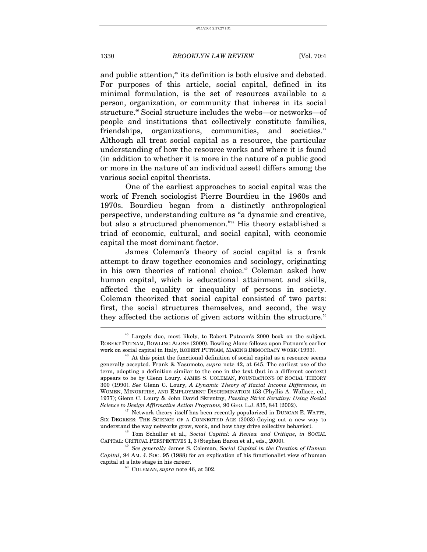and public attention,<sup>45</sup> its definition is both elusive and debated. For purposes of this article, social capital, defined in its minimal formulation, is the set of resources available to a person, organization, or community that inheres in its social structure.<sup>46</sup> Social structure includes the webs—or networks—of people and institutions that collectively constitute families, friendships, organizations, communities, and societies.<sup>[47](#page-18-2)</sup> Although all treat social capital as a resource, the particular understanding of how the resource works and where it is found (in addition to whether it is more in the nature of a public good or more in the nature of an individual asset) differs among the various social capital theorists.

One of the earliest approaches to social capital was the work of French sociologist Pierre Bourdieu in the 1960s and 1970s. Bourdieu began from a distinctly anthropological perspective, understanding culture as "a dynamic and creative, but also a structured phenomenon."[48](#page-18-3) His theory established a triad of economic, cultural, and social capital, with economic capital the most dominant factor.

James Coleman's theory of social capital is a frank attempt to draw together economics and sociology, originating in his own theories of rational choice.<sup>49</sup> Coleman asked how human capital, which is educational attainment and skills, affected the equality or inequality of persons in society. Coleman theorized that social capital consisted of two parts: first, the social structures themselves, and second, the way they affected the actions of given actors within the structure.<sup>50</sup>  $\overline{a}$ 

<span id="page-18-0"></span> $45$  Largely due, most likely, to Robert Putnam's 2000 book on the subject. ROBERT PUTNAM, BOWLING ALONE (2000). Bowling Alone follows upon Putnam's earlier work on social capital in Italy, ROBERT PUTNAM, MAKING DEMOCRACY WORK (1993).<br><sup>46</sup> At this point the functional definition of social capital as a resource seems

<span id="page-18-1"></span>generally accepted. Frank & Yasumoto, *supra* note 42, at 645. The earliest use of the term, adopting a definition similar to the one in the text (but in a different context) appears to be by Glenn Loury. JAMES S. COLEMAN, FOUNDATIONS OF SOCIAL THEORY 300 (1990). *See* Glenn C. Loury, *A Dynamic Theory of Racial Income Differences*, *in* WOMEN, MINORITIES, AND EMPLOYMENT DISCRIMINATION 153 (Phyllis A. Wallace, ed., 1977); Glenn C. Loury & John David Skrentny, *Passing Strict Scrutiny: Using Social Science to Design Affirmative Action Programs*, 90 GEO. L.J. 835, 841 (2002).<br><sup>47</sup> Network theory itself has been recently popularized in DUNCAN E. WATTS,

<span id="page-18-2"></span>SIX DEGREES: THE SCIENCE OF A CONNECTED AGE (2003) (laying out a new way to understand the way networks grow, work, and how they drive collective behavior). 48 Tom Schuller et al., *Social Capital: A Review and Critique*, *in* SOCIAL

<span id="page-18-3"></span>CAPITAL: CRITICAL PERSPECTIVES 1, <sup>3</sup> (Stephen Baron et al., eds., 2000). 49 *See generally* James S. Coleman, *Social Capital in the Creation of Human* 

*Capital*, 94 AM. J. SOC. 95 (1988) for an explication of his functionalist view of human capital at a late stage in his career. 50 COLEMAN, *supra* note 46, at 302.

<span id="page-18-5"></span><span id="page-18-4"></span>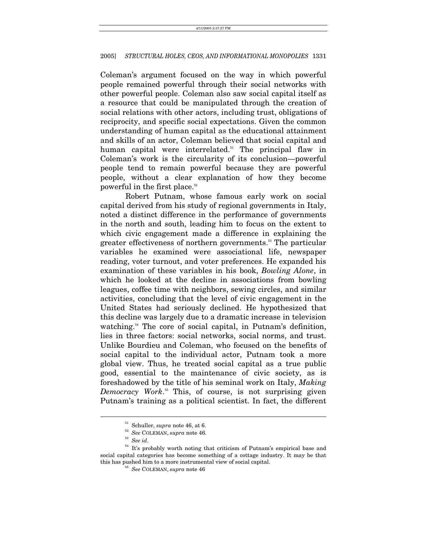Coleman's argument focused on the way in which powerful people remained powerful through their social networks with other powerful people. Coleman also saw social capital itself as a resource that could be manipulated through the creation of social relations with other actors, including trust, obligations of reciprocity, and specific social expectations. Given the common understanding of human capital as the educational attainment and skills of an actor, Coleman believed that social capital and human capital were interrelated.<sup>51</sup> The principal flaw in Coleman's work is the circularity of its conclusion—powerful people tend to remain powerful because they are powerful people, without a clear explanation of how they become powerful in the first place[.52](#page-19-1)

Robert Putnam, whose famous early work on social capital derived from his study of regional governments in Italy, noted a distinct difference in the performance of governments in the north and south, leading him to focus on the extent to which civic engagement made a difference in explaining the greater effectiveness of northern governments.<sup>53</sup> The particular variables he examined were associational life, newspaper reading, voter turnout, and voter preferences. He expanded his examination of these variables in his book, *Bowling Alone*, in which he looked at the decline in associations from bowling leagues, coffee time with neighbors, sewing circles, and similar activities, concluding that the level of civic engagement in the United States had seriously declined. He hypothesized that this decline was largely due to a dramatic increase in television watching.<sup>54</sup> The core of social capital, in Putnam's definition, lies in three factors: social networks, social norms, and trust. Unlike Bourdieu and Coleman, who focused on the benefits of social capital to the individual actor, Putnam took a more global view. Thus, he treated social capital as a true public good, essential to the maintenance of civic society, as is foreshadowed by the title of his seminal work on Italy, *Making Democracy Work*. [55](#page-19-4) This, of course, is not surprising given Putnam's training as a political scientist. In fact, the different

<span id="page-19-0"></span>

<span id="page-19-1"></span>

<span id="page-19-3"></span><span id="page-19-2"></span>

<sup>51</sup> Schuller, *supra* note 46, at 6. 52 *See* COLEMAN, *supra* note 46. 53 *See id*. 54 It's probably worth noting that criticism of Putnam's empirical base and social capital categories has become something of a cottage industry. It may be that this has pushed him to a more instrumental view of social capital. 55 *See* COLEMAN, *supra* note 46

<span id="page-19-4"></span>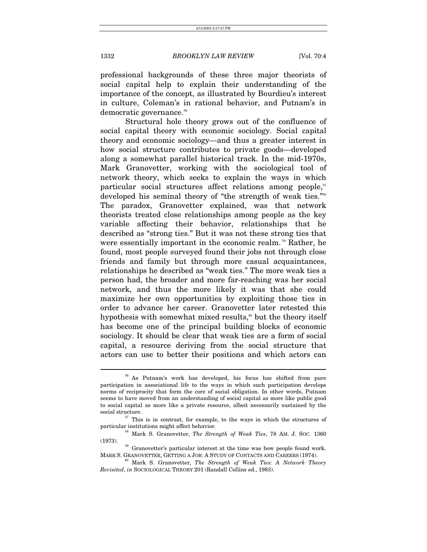professional backgrounds of these three major theorists of social capital help to explain their understanding of the importance of the concept, as illustrated by Bourdieu's interest in culture, Coleman's in rational behavior, and Putnam's in democratic governance.<sup>[56](#page-20-0)</sup>

Structural hole theory grows out of the confluence of social capital theory with economic sociology. Social capital theory and economic sociology—and thus a greater interest in how social structure contributes to private goods—developed along a somewhat parallel historical track. In the mid-1970s, Mark Granovetter, working with the sociological tool of network theory, which seeks to explain the ways in which particular social structures affect relations among people, $57$ developed his seminal theory of "the strength of weak ties."<sup>[58](#page-20-2)</sup> The paradox, Granovetter explained, was that network theorists treated close relationships among people as the key variable affecting their behavior, relationships that he described as "strong ties." But it was not these strong ties that were essentially important in the economic realm.<sup>59</sup> Rather, he found, most people surveyed found their jobs not through close friends and family but through more casual acquaintances, relationships he described as "weak ties." The more weak ties a person had, the broader and more far-reaching was her social network, and thus the more likely it was that she could maximize her own opportunities by exploiting those ties in order to advance her career. Granovetter later retested this hypothesis with somewhat mixed results,<sup>60</sup> but the theory itself has become one of the principal building blocks of economic sociology. It should be clear that weak ties are a form of social capital, a resource deriving from the social structure that actors can use to better their positions and which actors can

<span id="page-20-0"></span><sup>56</sup> As Putnam's work has developed, his focus has shifted from pure participation in associational life to the ways in which such participation develops norms of reciprocity that form the core of social obligation. In other words, Putnam seems to have moved from an understanding of social capital as more like public good to social capital as more like a private resource, albeit necessarily sustained by the

<span id="page-20-1"></span>social structure.<br> $57$  This is in contrast, for example, to the ways in which the structures of particular institutions might affect behavior. 58 Mark S. Granovetter, *The Strength of Weak Ties*, 78 AM. J. SOC. 1360

<span id="page-20-2"></span><sup>(1973).</sup>  $59$  Granovetter's particular interest at the time was how people found work.

<span id="page-20-3"></span>MARK S. GRANOVETTER, GETTING A JOB: <sup>A</sup> STUDY OF CONTACTS AND CAREERS (1974). 60 Mark S. Granovetter, *The Strength of Weak Ties: A Network Theory* 

<span id="page-20-4"></span>*Revisited*, *in* SOCIOLOGICAL THEORY 201 (Randall Collins ed., 1983).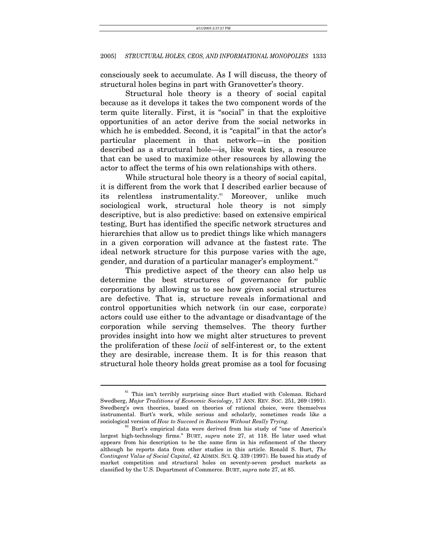consciously seek to accumulate. As I will discuss, the theory of structural holes begins in part with Granovetter's theory.

Structural hole theory is a theory of social capital because as it develops it takes the two component words of the term quite literally. First, it is "social" in that the exploitive opportunities of an actor derive from the social networks in which he is embedded. Second, it is "capital" in that the actor's particular placement in that network—in the position described as a structural hole—is, like weak ties, a resource that can be used to maximize other resources by allowing the actor to affect the terms of his own relationships with others.

While structural hole theory is a theory of social capital, it is different from the work that I described earlier because of its relentless instrumentality.<sup>61</sup> Moreover, unlike much sociological work, structural hole theory is not simply descriptive, but is also predictive: based on extensive empirical testing, Burt has identified the specific network structures and hierarchies that allow us to predict things like which managers in a given corporation will advance at the fastest rate. The ideal network structure for this purpose varies with the age, gender, and duration of a particular manager's employment.<sup>62</sup>

This predictive aspect of the theory can also help us determine the best structures of governance for public corporations by allowing us to see how given social structures are defective. That is, structure reveals informational and control opportunities which network (in our case, corporate) actors could use either to the advantage or disadvantage of the corporation while serving themselves. The theory further provides insight into how we might alter structures to prevent the proliferation of these *locii* of self-interest or, to the extent they are desirable, increase them. It is for this reason that structural hole theory holds great promise as a tool for focusing

<span id="page-21-0"></span> $61$  This isn't terribly surprising since Burt studied with Coleman. Richard Swedberg, *Major Traditions of Economic Sociology*, 17 ANN. REV. SOC. 251, 269 (1991). Swedberg's own theories, based on theories of rational choice, were themselves instrumental. Burt's work, while serious and scholarly, sometimes reads like a sociological version of *How to Succeed in Business Without Really Trying.*

<span id="page-21-1"></span> $62$  Burt's empirical data were derived from his study of "one of America's largest high-technology firms." BURT, *supra* note 27, at 118. He later used what appears from his description to be the same firm in his refinement of the theory although he reports data from other studies in this article. Ronald S. Burt, *The Contingent Value of Social Capital*, 42 ADMIN. SCI. Q. 339 (1997). He based his study of market competition and structural holes on seventy-seven product markets as classified by the U.S. Department of Commerce. BURT, *supra* note 27, at 85.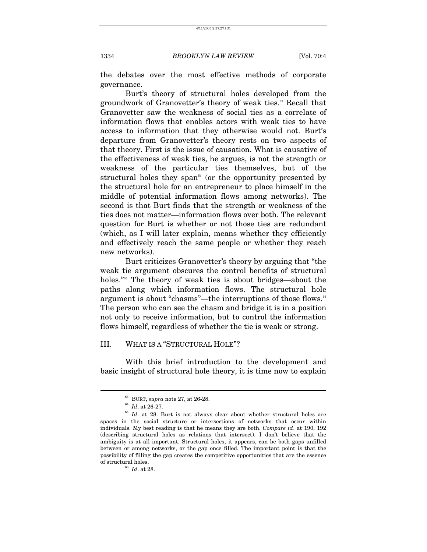the debates over the most effective methods of corporate governance.

Burt's theory of structural holes developed from the groundwork of Granovetter's theory of weak ties.<sup>63</sup> Recall that Granovetter saw the weakness of social ties as a correlate of information flows that enables actors with weak ties to have access to information that they otherwise would not. Burt's departure from Granovetter's theory rests on two aspects of that theory. First is the issue of causation. What is causative of the effectiveness of weak ties, he argues, is not the strength or weakness of the particular ties themselves, but of the structural holes they span $64$  (or the opportunity presented by the structural hole for an entrepreneur to place himself in the middle of potential information flows among networks). The second is that Burt finds that the strength or weakness of the ties does not matter—information flows over both. The relevant question for Burt is whether or not those ties are redundant (which, as I will later explain, means whether they efficiently and effectively reach the same people or whether they reach new networks).

Burt criticizes Granovetter's theory by arguing that "the weak tie argument obscures the control benefits of structural holes.<sup>"65</sup> The theory of weak ties is about bridges—about the paths along which information flows. The structural hole argument is about "chasms"—the interruptions of those flows.<sup>[66](#page-22-3)</sup> The person who can see the chasm and bridge it is in a position not only to receive information, but to control the information flows himself, regardless of whether the tie is weak or strong.

## III. WHAT IS A "STRUCTURAL HOLE"?

With this brief introduction to the development and basic insight of structural hole theory, it is time now to explain

<span id="page-22-3"></span>

<span id="page-22-0"></span>

<span id="page-22-2"></span><span id="page-22-1"></span>

<sup>&</sup>lt;sup>63</sup> BURT, *supra* note 27, at 26-28.<br><sup>64</sup> *Id.* at 26-27.<br><sup>65</sup> *Id.* at 28. Burt is not always clear about whether structural holes are spaces in the social structure or intersections of networks that occur within individuals. My best reading is that he means they are both. *Compare id*. at 190, 192 (describing structural holes as relations that intersect). I don't believe that the ambiguity is at all important. Structural holes, it appears, can be both gaps unfilled between or among networks, or the gap once filled. The important point is that the possibility of filling the gap creates the competitive opportunities that are the essence % of structural holes.<br> $\frac{66}{Id}$ . at 28.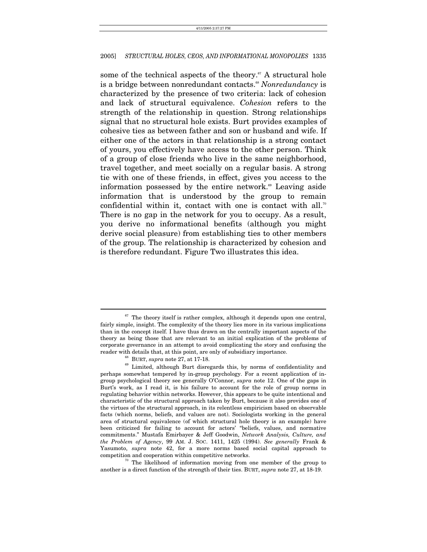some of the technical aspects of the theory.<sup> $\sigma$ </sup> A structural hole is a bridge between nonredundant contacts.<sup>[68](#page-23-1)</sup> *Nonredundancy* is characterized by the presence of two criteria: lack of cohesion and lack of structural equivalence. *Cohesion* refers to the strength of the relationship in question. Strong relationships signal that no structural hole exists. Burt provides examples of cohesive ties as between father and son or husband and wife. If either one of the actors in that relationship is a strong contact of yours, you effectively have access to the other person. Think of a group of close friends who live in the same neighborhood, travel together, and meet socially on a regular basis. A strong tie with one of these friends, in effect, gives you access to the information possessed by the entire network.<sup>69</sup> Leaving aside information that is understood by the group to remain confidential within it, contact with one is contact with all.<sup>[70](#page-23-3)</sup> There is no gap in the network for you to occupy. As a result, you derive no informational benefits (although you might derive social pleasure) from establishing ties to other members of the group. The relationship is characterized by cohesion and is therefore redundant. Figure Two illustrates this idea.

<span id="page-23-0"></span> $67$  The theory itself is rather complex, although it depends upon one central, fairly simple, insight. The complexity of the theory lies more in its various implications than in the concept itself. I have thus drawn on the centrally important aspects of the theory as being those that are relevant to an initial explication of the problems of corporate governance in an attempt to avoid complicating the story and confusing the

<span id="page-23-2"></span><span id="page-23-1"></span>

<sup>&</sup>lt;sup>68</sup> BURT, *supra* note 27, at 17-18.  $\frac{69}{100}$  Limited, although Burt disregards this, by norms of confidentiality and perhaps somewhat tempered by in-group psychology. For a recent application of ingroup psychological theory see generally O'Connor, *supra* note 12. One of the gaps in Burt's work, as I read it, is his failure to account for the role of group norms in regulating behavior within networks. However, this appears to be quite intentional and characteristic of the structural approach taken by Burt, because it also provides one of the virtues of the structural approach, in its relentless empiricism based on observable facts (which norms, beliefs, and values are not). Sociologists working in the general area of structural equivalence (of which structural hole theory is an example) have been criticized for failing to account for actors' "beliefs, values, and normative commitments." Mustafa Emirbayer & Jeff Goodwin, *Network Analysis, Culture, and the Problem of Agency*, 99 AM. J. SOC. 1411, 1425 (1994). *See generally* Frank & Yasumoto, *supra* note 42, for a more norms based social capital approach to

<span id="page-23-3"></span>competition and cooperation within competitive networks. 70 The likelihood of information moving from one member of the group to another is a direct function of the strength of their ties. BURT, *supra* note 27, at 18-19.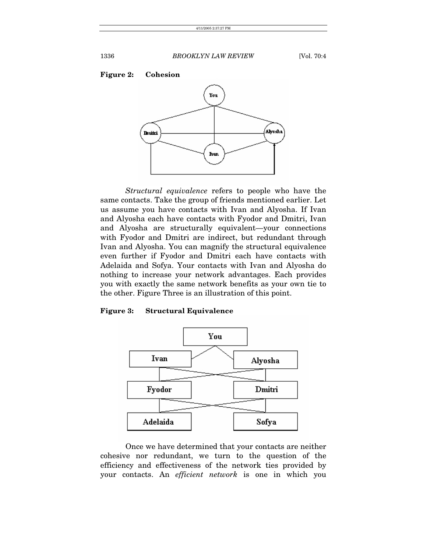

*Structural equivalence* refers to people who have the same contacts. Take the group of friends mentioned earlier. Let us assume you have contacts with Ivan and Alyosha. If Ivan and Alyosha each have contacts with Fyodor and Dmitri, Ivan and Alyosha are structurally equivalent—your connections with Fyodor and Dmitri are indirect, but redundant through Ivan and Alyosha. You can magnify the structural equivalence even further if Fyodor and Dmitri each have contacts with Adelaida and Sofya. Your contacts with Ivan and Alyosha do nothing to increase your network advantages. Each provides you with exactly the same network benefits as your own tie to the other. Figure Three is an illustration of this point.

## **Figure 3: Structural Equivalence**



Once we have determined that your contacts are neither cohesive nor redundant, we turn to the question of the efficiency and effectiveness of the network ties provided by your contacts. An *efficient network* is one in which you

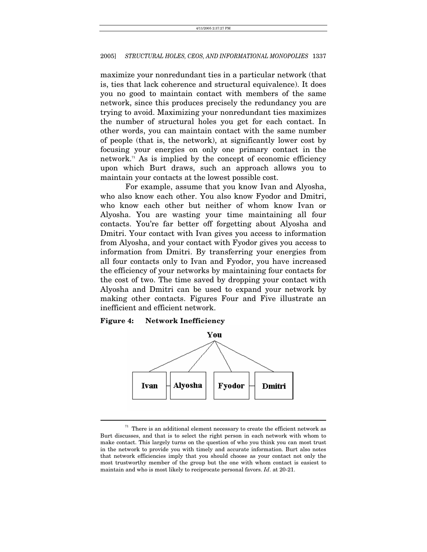maximize your nonredundant ties in a particular network (that is, ties that lack coherence and structural equivalence). It does you no good to maintain contact with members of the same network, since this produces precisely the redundancy you are trying to avoid. Maximizing your nonredundant ties maximizes the number of structural holes you get for each contact. In other words, you can maintain contact with the same number of people (that is, the network), at significantly lower cost by focusing your energies on only one primary contact in the network.<sup> $n$ </sup> As is implied by the concept of economic efficiency upon which Burt draws, such an approach allows you to maintain your contacts at the lowest possible cost.

For example, assume that you know Ivan and Alyosha, who also know each other. You also know Fyodor and Dmitri, who know each other but neither of whom know Ivan or Alyosha. You are wasting your time maintaining all four contacts. You're far better off forgetting about Alyosha and Dmitri. Your contact with Ivan gives you access to information from Alyosha, and your contact with Fyodor gives you access to information from Dmitri. By transferring your energies from all four contacts only to Ivan and Fyodor, you have increased the efficiency of your networks by maintaining four contacts for the cost of two. The time saved by dropping your contact with Alyosha and Dmitri can be used to expand your network by making other contacts. Figures Four and Five illustrate an inefficient and efficient network.

## **Figure 4: Network Inefficiency**



<span id="page-25-0"></span> $^{71}\,$  There is an additional element necessary to create the efficient network as Burt discusses, and that is to select the right person in each network with whom to make contact. This largely turns on the question of who you think you can most trust in the network to provide you with timely and accurate information. Burt also notes that network efficiencies imply that you should choose as your contact not only the most trustworthy member of the group but the one with whom contact is easiest to maintain and who is most likely to reciprocate personal favors. *Id*. at 20-21.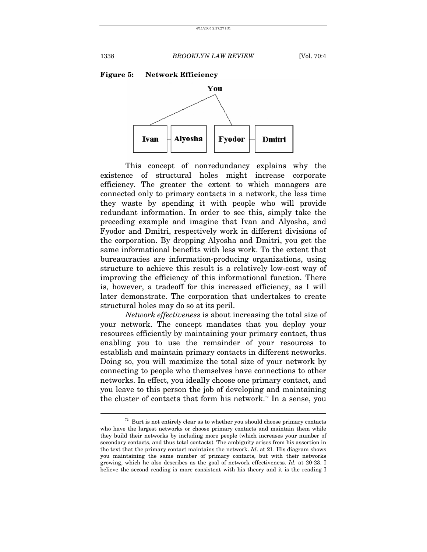

This concept of nonredundancy explains why the existence of structural holes might increase corporate efficiency. The greater the extent to which managers are connected only to primary contacts in a network, the less time they waste by spending it with people who will provide redundant information. In order to see this, simply take the preceding example and imagine that Ivan and Alyosha, and Fyodor and Dmitri, respectively work in different divisions of the corporation. By dropping Alyosha and Dmitri, you get the same informational benefits with less work. To the extent that bureaucracies are information-producing organizations, using structure to achieve this result is a relatively low-cost way of improving the efficiency of this informational function. There is, however, a tradeoff for this increased efficiency, as I will later demonstrate. The corporation that undertakes to create structural holes may do so at its peril.

*Network effectiveness* is about increasing the total size of your network. The concept mandates that you deploy your resources efficiently by maintaining your primary contact, thus enabling you to use the remainder of your resources to establish and maintain primary contacts in different networks. Doing so, you will maximize the total size of your network by connecting to people who themselves have connections to other networks. In effect, you ideally choose one primary contact, and you leave to this person the job of developing and maintaining the cluster of contacts that form his network.<sup>72</sup> In a sense, you

<span id="page-26-0"></span> $72$  Burt is not entirely clear as to whether you should choose primary contacts who have the largest networks or choose primary contacts and maintain them while they build their networks by including more people (which increases your number of secondary contacts, and thus total contacts). The ambiguity arises from his assertion in the text that the primary contact maintains the network. *Id*. at 21. His diagram shows you maintaining the same number of primary contacts, but with their networks growing, which he also describes as the goal of network effectiveness. *Id.* at 20-23. I believe the second reading is more consistent with his theory and it is the reading I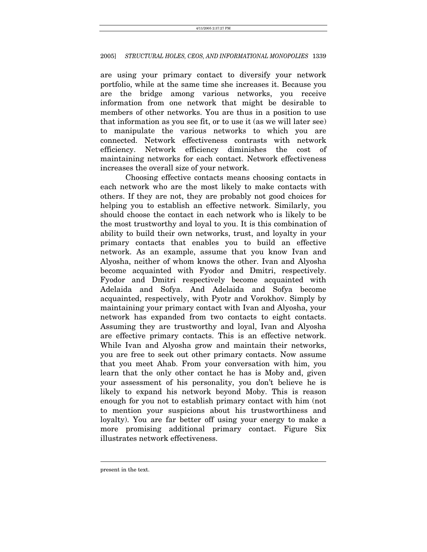are using your primary contact to diversify your network portfolio, while at the same time she increases it. Because you are the bridge among various networks, you receive information from one network that might be desirable to members of other networks. You are thus in a position to use that information as you see fit, or to use it (as we will later see) to manipulate the various networks to which you are connected. Network effectiveness contrasts with network efficiency. Network efficiency diminishes the cost of maintaining networks for each contact. Network effectiveness increases the overall size of your network.

Choosing effective contacts means choosing contacts in each network who are the most likely to make contacts with others. If they are not, they are probably not good choices for helping you to establish an effective network. Similarly, you should choose the contact in each network who is likely to be the most trustworthy and loyal to you. It is this combination of ability to build their own networks, trust, and loyalty in your primary contacts that enables you to build an effective network. As an example, assume that you know Ivan and Alyosha, neither of whom knows the other. Ivan and Alyosha become acquainted with Fyodor and Dmitri, respectively. Fyodor and Dmitri respectively become acquainted with Adelaida and Sofya. And Adelaida and Sofya become acquainted, respectively, with Pyotr and Vorokhov. Simply by maintaining your primary contact with Ivan and Alyosha, your network has expanded from two contacts to eight contacts. Assuming they are trustworthy and loyal, Ivan and Alyosha are effective primary contacts. This is an effective network. While Ivan and Alyosha grow and maintain their networks, you are free to seek out other primary contacts. Now assume that you meet Ahab. From your conversation with him, you learn that the only other contact he has is Moby and, given your assessment of his personality, you don't believe he is likely to expand his network beyond Moby. This is reason enough for you not to establish primary contact with him (not to mention your suspicions about his trustworthiness and loyalty). You are far better off using your energy to make a more promising additional primary contact. Figure Six illustrates network effectiveness.

present in the text.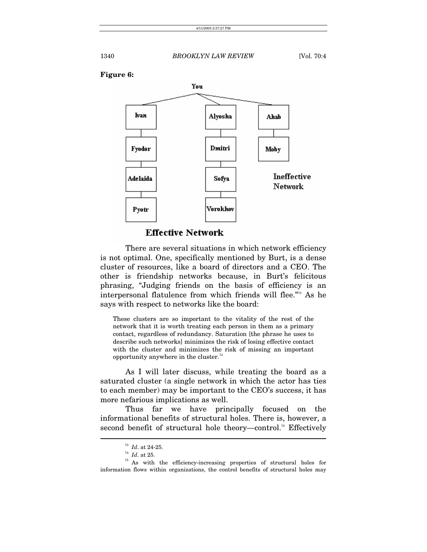



**Effective Network** 

There are several situations in which network efficiency is not optimal. One, specifically mentioned by Burt, is a dense cluster of resources, like a board of directors and a CEO. The other is friendship networks because, in Burt's felicitous phrasing, "Judging friends on the basis of efficiency is an interpersonal flatulence from which friends will flee."[73](#page-28-0) As he says with respect to networks like the board:

These clusters are so important to the vitality of the rest of the network that it is worth treating each person in them as a primary contact, regardless of redundancy. Saturation [the phrase he uses to describe such networks] minimizes the risk of losing effective contact with the cluster and minimizes the risk of missing an important opportunity anywhere in the cluster. $74$ 

As I will later discuss, while treating the board as a saturated cluster (a single network in which the actor has ties to each member) may be important to the CEO's success, it has more nefarious implications as well.

Thus far we have principally focused on the informational benefits of structural holes. There is, however, a second benefit of structural hole theory—control.<sup>75</sup> Effectively

<span id="page-28-0"></span>

<span id="page-28-2"></span><span id="page-28-1"></span>

<sup>&</sup>lt;sup>73</sup> *Id.* at 24-25.<br><sup>74</sup> *Id.* at 25.<br><sup>75</sup> As with the efficiency-increasing properties of structural holes for information flows within organizations, the control benefits of structural holes may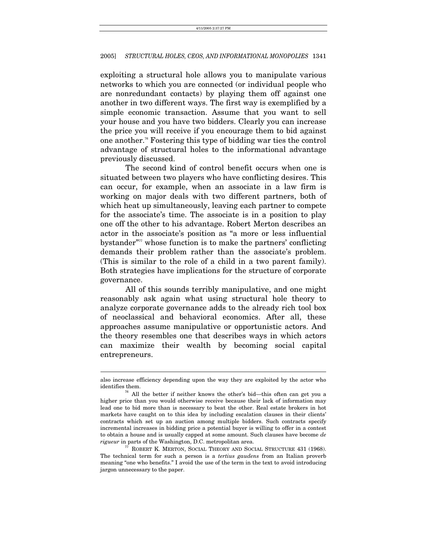exploiting a structural hole allows you to manipulate various networks to which you are connected (or individual people who are nonredundant contacts) by playing them off against one another in two different ways. The first way is exemplified by a simple economic transaction. Assume that you want to sell your house and you have two bidders. Clearly you can increase the price you will receive if you encourage them to bid against one another.[76](#page-29-0) Fostering this type of bidding war ties the control advantage of structural holes to the informational advantage previously discussed.

The second kind of control benefit occurs when one is situated between two players who have conflicting desires. This can occur, for example, when an associate in a law firm is working on major deals with two different partners, both of which heat up simultaneously, leaving each partner to compete for the associate's time. The associate is in a position to play one off the other to his advantage. Robert Merton describes an actor in the associate's position as "a more or less influential bystander $\mathbf{r}^{\prime\prime\prime\prime}$  whose function is to make the partners' conflicting demands their problem rather than the associate's problem. (This is similar to the role of a child in a two parent family). Both strategies have implications for the structure of corporate governance.

All of this sounds terribly manipulative, and one might reasonably ask again what using structural hole theory to analyze corporate governance adds to the already rich tool box of neoclassical and behavioral economics. After all, these approaches assume manipulative or opportunistic actors. And the theory resembles one that describes ways in which actors can maximize their wealth by becoming social capital entrepreneurs.

also increase efficiency depending upon the way they are exploited by the actor who identifies them.<br> $\frac{76}{16}$  All the better if neither knows the other's bid—this often can get you a

<span id="page-29-0"></span>higher price than you would otherwise receive because their lack of information may lead one to bid more than is necessary to beat the other. Real estate brokers in hot markets have caught on to this idea by including escalation clauses in their clients' contracts which set up an auction among multiple bidders. Such contracts specify incremental increases in bidding price a potential buyer is willing to offer in a contest to obtain a house and is usually capped at some amount. Such clauses have become *de rigueur* in parts of the Washington, D.C. metropolitan area.<br><sup>77</sup> ROBERT K. MERTON, SOCIAL THEORY AND SOCIAL STRUCTURE 431 (1968).

<span id="page-29-1"></span>The technical term for such a person is a *tertius gaudens* from an Italian proverb meaning "one who benefits." I avoid the use of the term in the text to avoid introducing jargon unnecessary to the paper.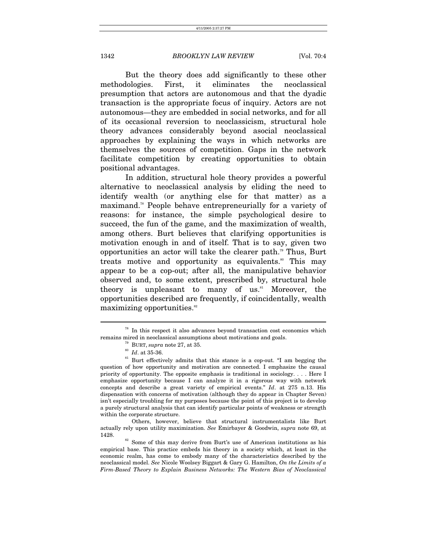But the theory does add significantly to these other methodologies. First, it eliminates the neoclassical presumption that actors are autonomous and that the dyadic transaction is the appropriate focus of inquiry. Actors are not autonomous—they are embedded in social networks, and for all of its occasional reversion to neoclassicism, structural hole theory advances considerably beyond asocial neoclassical approaches by explaining the ways in which networks are themselves the sources of competition. Gaps in the network facilitate competition by creating opportunities to obtain positional advantages.

In addition, structural hole theory provides a powerful alternative to neoclassical analysis by eliding the need to identify wealth (or anything else for that matter) as a maximand.[78](#page-30-0) People behave entrepreneurially for a variety of reasons: for instance, the simple psychological desire to succeed, the fun of the game, and the maximization of wealth, among others. Burt believes that clarifying opportunities is motivation enough in and of itself. That is to say, given two opportunities an actor will take the clearer path.<sup>79</sup> Thus, Burt treats motive and opportunity as equivalents.<sup>80</sup> This may appear to be a cop-out; after all, the manipulative behavior observed and, to some extent, prescribed by, structural hole theory is unpleasant to many of us. $^{81}$  Moreover, the opportunities described are frequently, if coincidentally, wealth maximizing opportunities.<sup>82</sup>

 $\overline{a}$ 

 Others, however, believe that structural instrumentalists like Burt actually rely upon utility maximization. *See* Emirbayer & Goodwin, *supra* note 69, at 1428.<br><sup>82</sup> Some of this may derive from Burt's use of American institutions as his

<span id="page-30-4"></span>empirical base. This practice embeds his theory in a society which, at least in the economic realm, has come to embody many of the characteristics described by the neoclassical model. *See* Nicole Woolsey Biggart & Gary G. Hamilton, *On the Limits of a Firm-Based Theory to Explain Business Networks: The Western Bias of Neoclassical* 

 $^{78}$  In this respect it also advances beyond transaction cost economics which remains mired in neoclassical assumptions about motivations and goals.

<span id="page-30-1"></span><span id="page-30-0"></span>

<span id="page-30-3"></span><span id="page-30-2"></span>

<sup>&</sup>lt;sup>79</sup> BURT, *supra* note 27, at 35. <sup>80</sup> *Id.* at 35-36. <sup>81</sup> Burt effectively admits that this stance is a cop-out. "I am begging the question of how opportunity and motivation are connected. I emphasize the causal priority of opportunity. The opposite emphasis is traditional in sociology. . . . Here I emphasize opportunity because I can analyze it in a rigorous way with network concepts and describe a great variety of empirical events." *Id*. at 275 n.13. His dispensation with concerns of motivation (although they do appear in Chapter Seven) isn't especially troubling for my purposes because the point of this project is to develop a purely structural analysis that can identify particular points of weakness or strength within the corporate structure.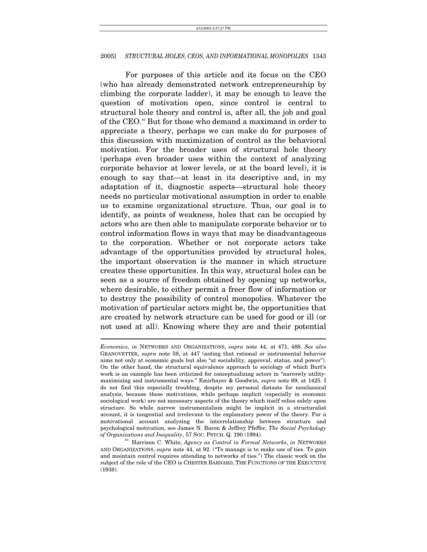For purposes of this article and its focus on the CEO (who has already demonstrated network entrepreneurship by climbing the corporate ladder), it may be enough to leave the question of motivation open, since control is central to structural hole theory and control is, after all, the job and goal of the CEO.<sup>83</sup> But for those who demand a maximand in order to appreciate a theory, perhaps we can make do for purposes of this discussion with maximization of control as the behavioral motivation. For the broader uses of structural hole theory (perhaps even broader uses within the context of analyzing corporate behavior at lower levels, or at the board level), it is enough to say that—at least in its descriptive and, in my adaptation of it, diagnostic aspects—structural hole theory needs no particular motivational assumption in order to enable us to examine organizational structure. Thus, our goal is to identify, as points of weakness, holes that can be occupied by actors who are then able to manipulate corporate behavior or to control information flows in ways that may be disadvantageous to the corporation. Whether or not corporate actors take advantage of the opportunities provided by structural holes, the important observation is the manner in which structure creates these opportunities. In this way, structural holes can be seen as a source of freedom obtained by opening up networks, where desirable, to either permit a freer flow of information or to destroy the possibility of control monopolies. Whatever the motivation of particular actors might be, the opportunities that are created by network structure can be used for good or ill (or not used at all). Knowing where they are and their potential

*Economics*, *in* NETWORKS AND ORGANIZATIONS, *supra* note 44, at 471, 488. *See also*  GRANOVETTER, *supra* note 59, at 447 (noting that rational or instrumental behavior aims not only at economic goals but also "at sociability, approval, status, and power"). On the other hand, the structural equivalence approach to sociology of which Burt's work is an example has been criticized for conceptualizing actors in "narrowly utilitymaximizing and instrumental ways." Emirbayer & Goodwin, *supra* note 69, at 1425. I do not find this especially troubling, despite my personal distaste for neoclassical analysis, because these motivations, while perhaps implicit (especially in economic sociological work) are not necessary aspects of the theory which itself relies solely upon structure. So while narrow instrumentalism might be implicit in a structuralist account, it is tangential and irrelevant to the explanatory power of the theory. For a motivational account analyzing the interrelationship between structure and psychological motivation, see James N. Baron & Jeffrey Pfeffer, *The Social Psychology of Organizations and Inequality*, 57 SOC. PSYCH. Q. 190 (1994). 83 Harrison C. White, *Agency as Control in Formal Networks*, *in* NETWORKS

<span id="page-31-0"></span>AND ORGANIZATIONS, *supra* note 44, at 92. ("To manage is to make use of ties. To gain and maintain control requires attending to networks of ties.") The classic work on the subject of the role of the CEO is CHESTER BARNARD, THE FUNCTIONS OF THE EXECUTIVE (1938).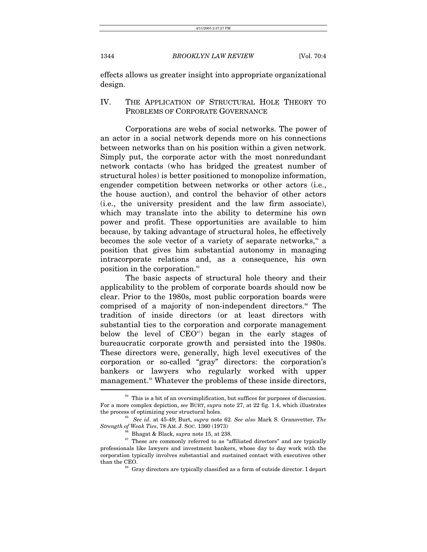effects allows us greater insight into appropriate organizational design.

## IV. THE APPLICATION OF STRUCTURAL HOLE THEORY TO PROBLEMS OF CORPORATE GOVERNANCE

Corporations are webs of social networks. The power of an actor in a social network depends more on his connections between networks than on his position within a given network. Simply put, the corporate actor with the most nonredundant network contacts (who has bridged the greatest number of structural holes) is better positioned to monopolize information, engender competition between networks or other actors (i.e., the house auction), and control the behavior of other actors (i.e., the university president and the law firm associate), which may translate into the ability to determine his own power and profit. These opportunities are available to him because, by taking advantage of structural holes, he effectively becomes the sole vector of a variety of separate networks, $^{84}$  a position that gives him substantial autonomy in managing intracorporate relations and, as a consequence, his own position in the corporation.<sup>[85](#page-32-1)</sup>

The basic aspects of structural hole theory and their applicability to the problem of corporate boards should now be clear. Prior to the 1980s, most public corporation boards were comprised of a majority of non-independent directors.<sup>[86](#page-32-2)</sup> The tradition of inside directors (or at least directors with substantial ties to the corporation and corporate management below the level of  $CEO^{s\gamma}$  began in the early stages of bureaucratic corporate growth and persisted into the 1980s. These directors were, generally, high level executives of the corporation or so-called "gray" directors: the corporation's bankers or lawyers who regularly worked with upper management.<sup>88</sup> Whatever the problems of these inside directors,

<span id="page-32-0"></span> $84$  This is a bit of an oversimplification, but suffices for purposes of discussion. For a more complex depiction, *see* BURT, *supra* note 27, at 22 fig. 1.4, which illustrates the process of optimizing your structural holes. 85 *See id*. at 45-49; Burt, *supra* note 62. *See also* Mark S. Granovetter, *The* 

*Strength of Weak Ties*, 78 AM. J. SOC. 1360 (1973)<br><sup>86</sup> Bhagat & Black, *supra* note 15, at 238.<br><sup>87</sup> These are commonly referred to as "affiliated directors" and are typically

<span id="page-32-3"></span><span id="page-32-2"></span><span id="page-32-1"></span>

professionals like lawyers and investment bankers, whose day to day work with the corporation typically involves substantial and sustained contact with executives other than the CEO.<br><sup>88</sup> Gray directors are typically classified as a form of outside director. I depart

<span id="page-32-4"></span>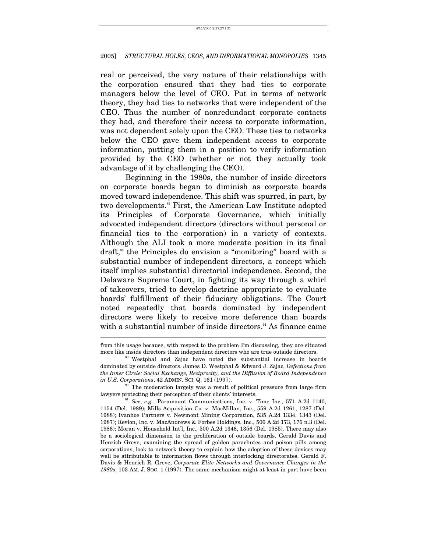real or perceived, the very nature of their relationships with the corporation ensured that they had ties to corporate managers below the level of CEO. Put in terms of network theory, they had ties to networks that were independent of the CEO. Thus the number of nonredundant corporate contacts they had, and therefore their access to corporate information, was not dependent solely upon the CEO. These ties to networks below the CEO gave them independent access to corporate information, putting them in a position to verify information provided by the CEO (whether or not they actually took advantage of it by challenging the CEO).

Beginning in the 1980s, the number of inside directors on corporate boards began to diminish as corporate boards moved toward independence. This shift was spurred, in part, by two developments.<sup>89</sup> First, the American Law Institute adopted its Principles of Corporate Governance, which initially advocated independent directors (directors without personal or financial ties to the corporation) in a variety of contexts. Although the ALI took a more moderate position in its final draft,<sup>90</sup> the Principles do envision a "monitoring" board with a substantial number of independent directors, a concept which itself implies substantial directorial independence. Second, the Delaware Supreme Court, in fighting its way through a whirl of takeovers, tried to develop doctrine appropriate to evaluate boards' fulfillment of their fiduciary obligations. The Court noted repeatedly that boards dominated by independent directors were likely to receive more deference than boards with a substantial number of inside directors.<sup>91</sup> As finance came

<span id="page-33-1"></span><sup>30</sup> The moderation largely was a result of political pressure from large firm lawyers protecting their perception of their clients' interests.<br><sup>91</sup> See, e.g., Paramount Communications, Inc. v. Time Inc., 571 A.2d 1140,

from this usage because, with respect to the problem I'm discussing, they are situated more like inside directors than independent directors who are true outside directors.

<span id="page-33-0"></span><sup>&</sup>lt;sup>89</sup> Westphal and Zajac have noted the substantial increase in boards. dominated by outside directors. James D. Westphal & Edward J. Zajac, *Defections from the Inner Circle: Social Exchange, Reciprocity, and the Diffusion of Board Independence in U.S. Corporations, 42 ADMIN. SCI. Q. 161 (1997).* 

<span id="page-33-2"></span><sup>1154 (</sup>Del. 1989); Mills Acquisition Co. v. MacMillan, Inc., 559 A.2d 1261, 1287 (Del. 1988); Ivanhoe Partners v. Newmont Mining Corporation, 535 A.2d 1334, 1343 (Del. 1987); Revlon, Inc. v. MacAndrews & Forbes Holdings, Inc., 506 A.2d 173, 176 n.3 (Del. 1986); Moran v. Household Int'l, Inc., 500 A.2d 1346, 1356 (Del. 1985). There may also be a sociological dimension to the proliferation of outside boards. Gerald Davis and Henrich Greve, examining the spread of golden parachutes and poison pills among corporations, look to network theory to explain how the adoption of these devices may well be attributable to information flows through interlocking directorates. Gerald F. Davis & Henrich R. Greve, *Corporate Elite Networks and Governance Changes in the 1980s*, 103 AM. J. SOC. 1 (1997). The same mechanism might at least in part have been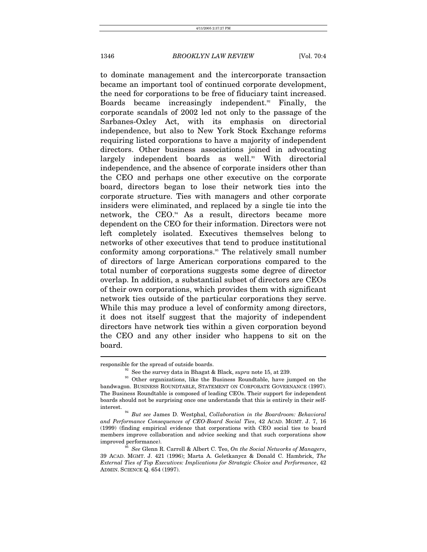to dominate management and the intercorporate transaction became an important tool of continued corporate development, the need for corporations to be free of fiduciary taint increased. Boards became increasingly independent.<sup>[92](#page-34-0)</sup> Finally, the corporate scandals of 2002 led not only to the passage of the Sarbanes-Oxley Act, with its emphasis on directorial independence, but also to New York Stock Exchange reforms requiring listed corporations to have a majority of independent directors. Other business associations joined in advocating largely independent boards as well.<sup>93</sup> With directorial independence, and the absence of corporate insiders other than the CEO and perhaps one other executive on the corporate board, directors began to lose their network ties into the corporate structure. Ties with managers and other corporate insiders were eliminated, and replaced by a single tie into the network, the CEO.<sup>94</sup> As a result, directors became more dependent on the CEO for their information. Directors were not left completely isolated. Executives themselves belong to networks of other executives that tend to produce institutional conformity among corporations.<sup>[95](#page-34-3)</sup> The relatively small number of directors of large American corporations compared to the total number of corporations suggests some degree of director overlap. In addition, a substantial subset of directors are CEOs of their own corporations, which provides them with significant network ties outside of the particular corporations they serve. While this may produce a level of conformity among directors, it does not itself suggest that the majority of independent directors have network ties within a given corporation beyond the CEO and any other insider who happens to sit on the board.

<span id="page-34-1"></span><span id="page-34-0"></span>

responsible for the spread of outside boards.<br><sup>92</sup> See the survey data in Bhagat & Black, *supra* note 15, at 239.<br><sup>93</sup> Other organizations, like the Business Roundtable, have jumped on the bandwagon. BUSINESS ROUNDTABLE, STATEMENT ON CORPORATE GOVERNANCE (1997). The Business Roundtable is composed of leading CEOs. Their support for independent boards should not be surprising once one understands that this is entirely in their self-

<span id="page-34-2"></span>interest. 94 *But see* James D. Westphal, *Collaboration in the Boardroom: Behavioral and Performance Consequences of CEO-Board Social Ties*, 42 ACAD. MGMT. J. 7, 16 (1999) (finding empirical evidence that corporations with CEO social ties to board members improve collaboration and advice seeking and that such corporations show improved performance). 95 *See* Glenn R. Carroll & Albert C. Teo, *On the Social Networks of Managers*,

<span id="page-34-3"></span><sup>39</sup> ACAD. MGMT. J. 421 (1996); Marta A. Geletkanycz & Donald C. Hambrick, *The External Ties of Top Executives: Implications for Strategic Choice and Performance*, 42 ADMIN. SCIENCE Q. 654 (1997).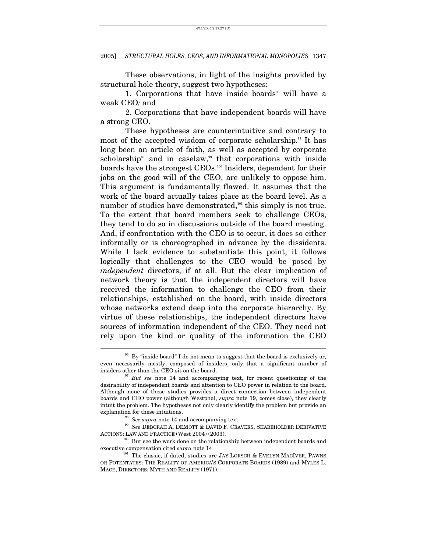These observations, in light of the insights provided by structural hole theory, suggest two hypotheses:

1. Corporations that have inside boards<sup> $\alpha$ </sup> will have a weak CEO*;* and

2. Corporations that have independent boards will have a strong CEO.

These hypotheses are counterintuitive and contrary to most of the accepted wisdom of corporate scholarship. $\mathfrak{I}$  It has long been an article of faith, as well as accepted by corporate  $scholarship<sup>98</sup>$  and in caselaw,<sup>99</sup> that corporations with inside boards have the strongest CEOs[.100](#page-35-4) Insiders, dependent for their jobs on the good will of the CEO, are unlikely to oppose him. This argument is fundamentally flawed. It assumes that the work of the board actually takes place at the board level. As a number of studies have demonstrated,<sup>101</sup> this simply is not true. To the extent that board members seek to challenge CEOs, they tend to do so in discussions outside of the board meeting. And, if confrontation with the CEO is to occur, it does so either informally or is choreographed in advance by the dissidents. While I lack evidence to substantiate this point, it follows logically that challenges to the CEO would be posed by *independent* directors, if at all. But the clear implication of network theory is that the independent directors will have received the information to challenge the CEO from their relationships, established on the board, with inside directors whose networks extend deep into the corporate hierarchy. By virtue of these relationships, the independent directors have sources of information independent of the CEO. They need not rely upon the kind or quality of the information the CEO

<span id="page-35-0"></span><sup>&</sup>lt;sup>96</sup> By "inside board" I do not mean to suggest that the board is exclusively or, even necessarily mostly, composed of insiders, only that a significant number of insiders other than the CEO sit on the board.

<span id="page-35-1"></span><sup>&</sup>lt;sup>97</sup> But see note 14 and accompanying text, for recent questioning of the desirability of independent boards and attention to CEO power in relation to the board. Although none of these studies provides a direct connection between independent boards and CEO power (although Westphal, *supra* note 19, comes close), they clearly intuit the problem. The hypotheses not only clearly identify the problem but provide an

<span id="page-35-4"></span><span id="page-35-3"></span><span id="page-35-2"></span>

explanation for these intuitions.  $^{98}$  *See supra* note 14 and accompanying text.  $^{99}$  *See <code>DEBORAH A. DEMOTT & DAVID F. CRAVERS, SHAREHOLDER DERIVATIVE*</code> ACTIONS: LAW AND PRACTICE (West 2004) (2003). <sup>100</sup> But see the work done on the relationship between independent boards and

<span id="page-35-5"></span>executive compensation cited *supra* note 14.<br><sup>101</sup> The classic, if dated, studies are JAY LORSCH & EVELYN MACIVER, PAWNS OR POTENTATES: THE REALITY OF AMERICA'S CORPORATE BOARDS (1989) and MYLES L. MACE, DIRECTORS: MYTH AND REALITY (1971).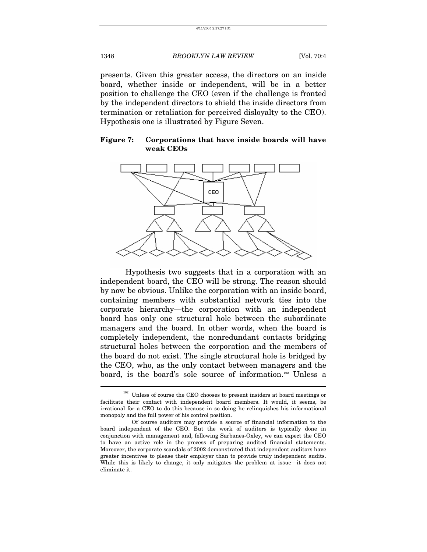presents. Given this greater access, the directors on an inside board, whether inside or independent, will be in a better position to challenge the CEO (even if the challenge is fronted by the independent directors to shield the inside directors from termination or retaliation for perceived disloyalty to the CEO). Hypothesis one is illustrated by Figure Seven.

## **Figure 7: Corporations that have inside boards will have weak CEOs**



Hypothesis two suggests that in a corporation with an independent board, the CEO will be strong. The reason should by now be obvious. Unlike the corporation with an inside board, containing members with substantial network ties into the corporate hierarchy—the corporation with an independent board has only one structural hole between the subordinate managers and the board. In other words, when the board is completely independent, the nonredundant contacts bridging structural holes between the corporation and the members of the board do not exist. The single structural hole is bridged by the CEO, who, as the only contact between managers and the board, is the board's sole source of information.<sup>102</sup> Unless a

<span id="page-36-0"></span> $^{102}$  Unless of course the CEO chooses to present insiders at board meetings or facilitate their contact with independent board members. It would, it seems, be irrational for a CEO to do this because in so doing he relinquishes his informational monopoly and the full power of his control position.

Of course auditors may provide a source of financial information to the board independent of the CEO. But the work of auditors is typically done in conjunction with management and, following Sarbanes-Oxley, we can expect the CEO to have an active role in the process of preparing audited financial statements. Moreover, the corporate scandals of 2002 demonstrated that independent auditors have greater incentives to please their employer than to provide truly independent audits. While this is likely to change, it only mitigates the problem at issue—it does not eliminate it.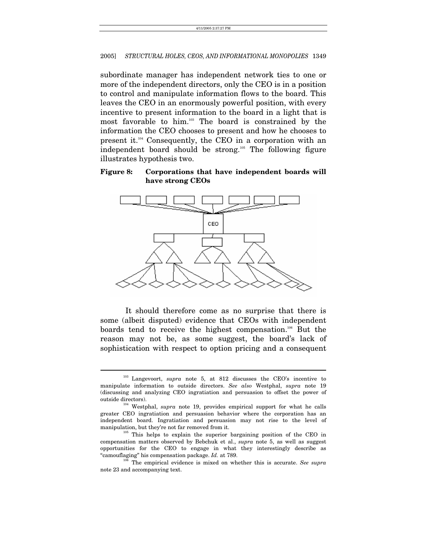subordinate manager has independent network ties to one or more of the independent directors, only the CEO is in a position to control and manipulate information flows to the board. This leaves the CEO in an enormously powerful position, with every incentive to present information to the board in a light that is most favorable to him.[103](#page-37-0) The board is constrained by the information the CEO chooses to present and how he chooses to present it.[104](#page-37-1) Consequently, the CEO in a corporation with an independent board should be strong.<sup>105</sup> The following figure illustrates hypothesis two.

## **Figure 8: Corporations that have independent boards will have strong CEOs**



It should therefore come as no surprise that there is some (albeit disputed) evidence that CEOs with independent boards tend to receive the highest compensation[.106](#page-37-3) But the reason may not be, as some suggest, the board's lack of sophistication with respect to option pricing and a consequent

<span id="page-37-0"></span><sup>103</sup> Langevoort, *supra* note 5, at 812 discusses the CEO's incentive to manipulate information to outside directors. *See also* Westphal, *supra* note 19 (discussing and analyzing CEO ingratiation and persuasion to offset the power of outside directors). 104 Westphal, *supra* note 19, provides empirical support for what he calls

<span id="page-37-1"></span>greater CEO ingratiation and persuasion behavior where the corporation has an independent board. Ingratiation and persuasion may not rise to the level of manipulation, but they're not far removed from it.<br><sup>105</sup> This helps to explain the superior bargaining position of the CEO in

<span id="page-37-2"></span>compensation matters observed by Bebchuk et al., *supra* note 5, as well as suggest opportunities for the CEO to engage in what they interestingly describe as "camouflaging" his compensation package. *Id.* at 789. 106 The empirical evidence is mixed on whether this is accurate. *See supra*

<span id="page-37-3"></span>note 23 and accompanying text.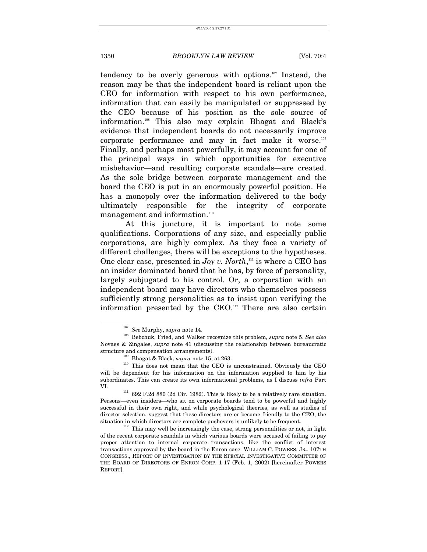tendency to be overly generous with options.<sup>107</sup> Instead, the reason may be that the independent board is reliant upon the CEO for information with respect to his own performance, information that can easily be manipulated or suppressed by the CEO because of his position as the sole source of information[.108](#page-38-1) This also may explain Bhagat and Black's evidence that independent boards do not necessarily improve corporate performance and may in fact make it worse.[109](#page-38-2) Finally, and perhaps most powerfully, it may account for one of the principal ways in which opportunities for executive misbehavior—and resulting corporate scandals—are created. As the sole bridge between corporate management and the board the CEO is put in an enormously powerful position. He has a monopoly over the information delivered to the body ultimately responsible for the integrity of corporate management and information.<sup>[110](#page-38-3)</sup>

At this juncture, it is important to note some qualifications. Corporations of any size, and especially public corporations, are highly complex. As they face a variety of different challenges, there will be exceptions to the hypotheses. One clear case, presented in *Joy v. North*,<sup>111</sup> is where a CEO has an insider dominated board that he has, by force of personality, largely subjugated to his control. Or, a corporation with an independent board may have directors who themselves possess sufficiently strong personalities as to insist upon verifying the information presented by the CEO[.112](#page-38-5) There are also certain

<span id="page-38-1"></span><span id="page-38-0"></span>

<sup>107</sup> *See* Murphy, *supra* note 14. 108 Bebchuk, Fried, and Walker recognize this problem, *supra* note 5. *See also* Novaes & Zingales, *supra* note 41 (discussing the relationship between bureaucratic

<span id="page-38-3"></span><span id="page-38-2"></span>

structure and compensation arrangements).<br><sup>109</sup> Bhagat & Black, *supra* note 15, at 263.<br><sup>110</sup> This does not mean that the CEO is unconstrained. Obviously the CEO will be dependent for his information on the information supplied to him by his subordinates. This can create its own informational problems, as I discuss *infra* Part

<span id="page-38-4"></span> $^{111}$  692 F.2d 880 (2d Cir. 1982). This is likely to be a relatively rare situation. Persons—even insiders—who sit on corporate boards tend to be powerful and highly successful in their own right, and while psychological theories, as well as studies of director selection, suggest that these directors are or become friendly to the CEO, the situation in which directors are complete pushovers is unlikely to be frequent.<br><sup>112</sup> This may well be increasingly the case, strong personalities or not, in light

<span id="page-38-5"></span>of the recent corporate scandals in which various boards were accused of failing to pay proper attention to internal corporate transactions, like the conflict of interest transactions approved by the board in the Enron case. WILLIAM C. POWERS, JR., 107TH CONGRESS., REPORT OF INVESTIGATION BY THE SPECIAL INVESTIGATIVE COMMITTEE OF THE BOARD OF DIRECTORS OF ENRON CORP. 1-17 (Feb. 1, 2002) [hereinafter POWERS REPORT].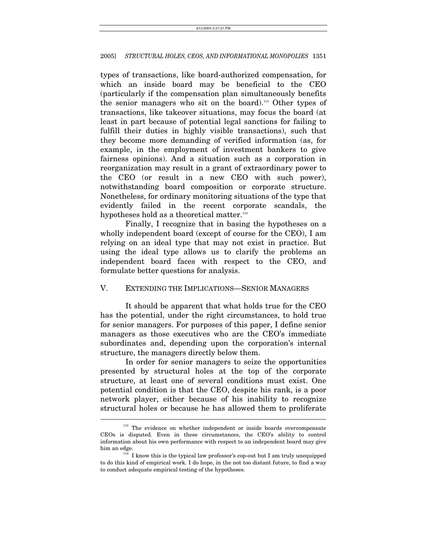types of transactions, like board-authorized compensation, for which an inside board may be beneficial to the CEO (particularly if the compensation plan simultaneously benefits the senior managers who sit on the board).<sup>113</sup> Other types of transactions, like takeover situations, may focus the board (at least in part because of potential legal sanctions for failing to fulfill their duties in highly visible transactions), such that they become more demanding of verified information (as, for example, in the employment of investment bankers to give fairness opinions). And a situation such as a corporation in reorganization may result in a grant of extraordinary power to the CEO (or result in a new CEO with such power), notwithstanding board composition or corporate structure. Nonetheless, for ordinary monitoring situations of the type that evidently failed in the recent corporate scandals, the hypotheses hold as a theoretical matter.<sup>[114](#page-39-1)</sup>

Finally, I recognize that in basing the hypotheses on a wholly independent board (except of course for the CEO), I am relying on an ideal type that may not exist in practice. But using the ideal type allows us to clarify the problems an independent board faces with respect to the CEO, and formulate better questions for analysis.

## V. EXTENDING THE IMPLICATIONS—SENIOR MANAGERS

It should be apparent that what holds true for the CEO has the potential, under the right circumstances, to hold true for senior managers. For purposes of this paper, I define senior managers as those executives who are the CEO's immediate subordinates and, depending upon the corporation's internal structure, the managers directly below them.

In order for senior managers to seize the opportunities presented by structural holes at the top of the corporate structure, at least one of several conditions must exist. One potential condition is that the CEO, despite his rank, is a poor network player, either because of his inability to recognize structural holes or because he has allowed them to proliferate  $\overline{a}$ 

<span id="page-39-0"></span><sup>&</sup>lt;sup>113</sup> The evidence on whether independent or inside boards overcompensate CEOs is disputed. Even in these circumstances, the CEO's ability to control information about his own performance with respect to an independent board may give

<span id="page-39-1"></span>him an edge.<br> $114$  I know this is the typical law professor's cop-out but I am truly unequipped to do this kind of empirical work. I do hope, in the not too distant future, to find a way to conduct adequate empirical testing of the hypotheses.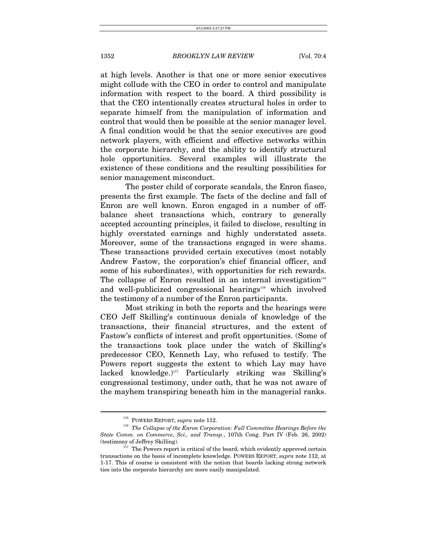at high levels. Another is that one or more senior executives might collude with the CEO in order to control and manipulate information with respect to the board. A third possibility is that the CEO intentionally creates structural holes in order to separate himself from the manipulation of information and control that would then be possible at the senior manager level. A final condition would be that the senior executives are good network players, with efficient and effective networks within the corporate hierarchy, and the ability to identify structural hole opportunities. Several examples will illustrate the existence of these conditions and the resulting possibilities for senior management misconduct.

The poster child of corporate scandals, the Enron fiasco, presents the first example. The facts of the decline and fall of Enron are well known. Enron engaged in a number of offbalance sheet transactions which, contrary to generally accepted accounting principles, it failed to disclose, resulting in highly overstated earnings and highly understated assets. Moreover, some of the transactions engaged in were shams. These transactions provided certain executives (most notably Andrew Fastow, the corporation's chief financial officer, and some of his subordinates), with opportunities for rich rewards. The collapse of Enron resulted in an internal investigation<sup>[115](#page-40-0)</sup> and well-publicized congressional hearings<sup>116</sup> which involved the testimony of a number of the Enron participants.

Most striking in both the reports and the hearings were CEO Jeff Skilling's continuous denials of knowledge of the transactions, their financial structures, and the extent of Fastow's conflicts of interest and profit opportunities. (Some of the transactions took place under the watch of Skilling's predecessor CEO, Kenneth Lay, who refused to testify. The Powers report suggests the extent to which Lay may have lacked knowledge.)<sup>117</sup> Particularly striking was Skilling's congressional testimony, under oath, that he was not aware of the mayhem transpiring beneath him in the managerial ranks.

<span id="page-40-1"></span><span id="page-40-0"></span>

<sup>&</sup>lt;sup>115</sup> POWERS REPORT, *supra* note 112.<br><sup>116</sup> *The Collapse of the Enron Corporation: Full Committee Hearings Before the State Comm. on Commerce, Sci., and Transp.*, 107th Cong. Part IV (Feb. 26, 2002) (testimony of Jeffrey Skilling).

<span id="page-40-2"></span> $117$  The Powers report is critical of the board, which evidently approved certain transactions on the basis of incomplete knowledge. POWERS REPORT, *supra* note 112, at 1-17. This of course is consistent with the notion that boards lacking strong network ties into the corporate hierarchy are more easily manipulated.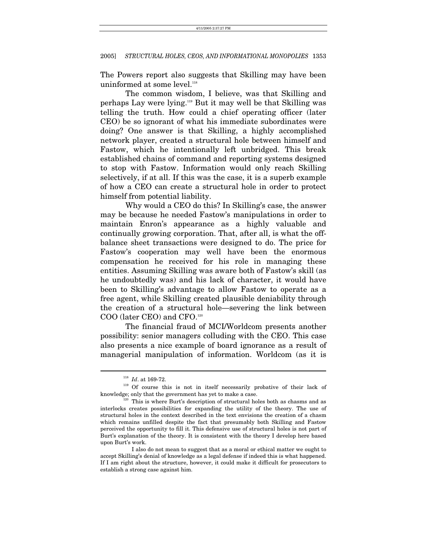The Powers report also suggests that Skilling may have been uninformed at some level.<sup>[118](#page-41-0)</sup>

The common wisdom, I believe, was that Skilling and perhaps Lay were lying.[119](#page-41-1) But it may well be that Skilling was telling the truth. How could a chief operating officer (later CEO) be so ignorant of what his immediate subordinates were doing? One answer is that Skilling, a highly accomplished network player, created a structural hole between himself and Fastow, which he intentionally left unbridged. This break established chains of command and reporting systems designed to stop with Fastow. Information would only reach Skilling selectively, if at all. If this was the case, it is a superb example of how a CEO can create a structural hole in order to protect himself from potential liability.

Why would a CEO do this? In Skilling's case, the answer may be because he needed Fastow's manipulations in order to maintain Enron's appearance as a highly valuable and continually growing corporation. That, after all, is what the offbalance sheet transactions were designed to do. The price for Fastow's cooperation may well have been the enormous compensation he received for his role in managing these entities. Assuming Skilling was aware both of Fastow's skill (as he undoubtedly was) and his lack of character, it would have been to Skilling's advantage to allow Fastow to operate as a free agent, while Skilling created plausible deniability through the creation of a structural hole—severing the link between COO (later CEO) and CFO.[120](#page-41-2) 

The financial fraud of MCI/Worldcom presents another possibility: senior managers colluding with the CEO. This case also presents a nice example of board ignorance as a result of managerial manipulation of information. Worldcom (as it is

<span id="page-41-2"></span><span id="page-41-1"></span><span id="page-41-0"></span>

 $\stackrel{118}{\longrightarrow} \text{Id. at 169-72.}$  <br>  $\stackrel{119}{\longrightarrow}$  Of course this is not in itself necessarily probative of their lack of knowledge; only that the government has yet to make a case.<br><sup>120</sup> This is where Burt's description of structural holes both as chasms and as

interlocks creates possibilities for expanding the utility of the theory. The use of structural holes in the context described in the text envisions the creation of a chasm which remains unfilled despite the fact that presumably both Skilling and Fastow perceived the opportunity to fill it. This defensive use of structural holes is not part of Burt's explanation of the theory. It is consistent with the theory I develop here based upon Burt's work.

I also do not mean to suggest that as a moral or ethical matter we ought to accept Skilling's denial of knowledge as a legal defense if indeed this is what happened. If I am right about the structure, however, it could make it difficult for prosecutors to establish a strong case against him.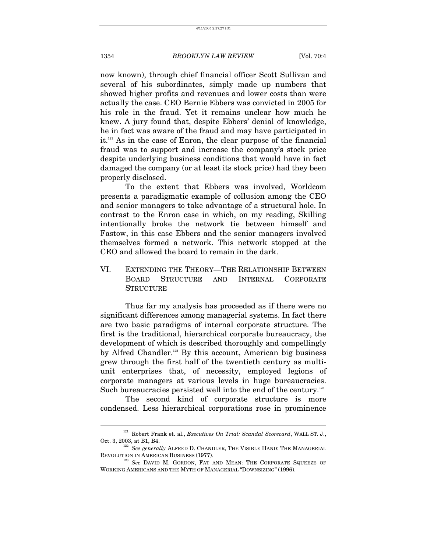now known), through chief financial officer Scott Sullivan and several of his subordinates, simply made up numbers that showed higher profits and revenues and lower costs than were actually the case. CEO Bernie Ebbers was convicted in 2005 for his role in the fraud. Yet it remains unclear how much he knew. A jury found that, despite Ebbers' denial of knowledge, he in fact was aware of the fraud and may have participated in it.[121](#page-42-0) As in the case of Enron, the clear purpose of the financial fraud was to support and increase the company's stock price despite underlying business conditions that would have in fact damaged the company (or at least its stock price) had they been properly disclosed.

To the extent that Ebbers was involved, Worldcom presents a paradigmatic example of collusion among the CEO and senior managers to take advantage of a structural hole. In contrast to the Enron case in which, on my reading, Skilling intentionally broke the network tie between himself and Fastow, in this case Ebbers and the senior managers involved themselves formed a network. This network stopped at the CEO and allowed the board to remain in the dark.

VI. EXTENDING THE THEORY—THE RELATIONSHIP BETWEEN BOARD STRUCTURE AND INTERNAL CORPORATE **STRUCTURE** 

Thus far my analysis has proceeded as if there were no significant differences among managerial systems. In fact there are two basic paradigms of internal corporate structure. The first is the traditional, hierarchical corporate bureaucracy, the development of which is described thoroughly and compellingly by Alfred Chandler.<sup>[122](#page-42-1)</sup> By this account, American big business grew through the first half of the twentieth century as multiunit enterprises that, of necessity, employed legions of corporate managers at various levels in huge bureaucracies. Such bureaucracies persisted well into the end of the century.<sup>123</sup>

The second kind of corporate structure is more condensed. Less hierarchical corporations rose in prominence

<span id="page-42-0"></span><sup>121</sup> Robert Frank et. al., *Executives On Trial: Scandal Scorecard*, WALL ST. J.,

<span id="page-42-1"></span>Oct. 3, 2003, at B1, B4. 122 *See generally ALFRED D. CHANDLER*, THE VISIBLE HAND: THE MANAGERIAL REVOLUTION IN AMERICAN BUSINESS (1977).

<span id="page-42-2"></span><sup>&</sup>lt;sup>123</sup> See DAVID M. GORDON, FAT AND MEAN: THE CORPORATE SQUEEZE OF WORKING AMERICANS AND THE MYTH OF MANAGERIAL "DOWNSIZING" (1996).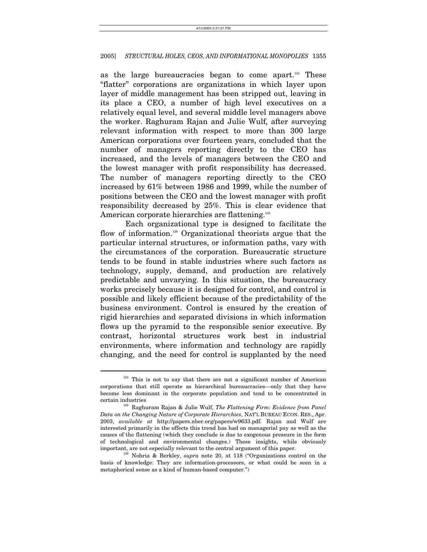as the large bureaucracies began to come apart.<sup>124</sup> These "flatter" corporations are organizations in which layer upon layer of middle management has been stripped out, leaving in its place a CEO, a number of high level executives on a relatively equal level, and several middle level managers above the worker. Raghuram Rajan and Julie Wulf, after surveying relevant information with respect to more than 300 large American corporations over fourteen years, concluded that the number of managers reporting directly to the CEO has increased, and the levels of managers between the CEO and the lowest manager with profit responsibility has decreased. The number of managers reporting directly to the CEO increased by 61% between 1986 and 1999, while the number of positions between the CEO and the lowest manager with profit responsibility decreased by 25%. This is clear evidence that American corporate hierarchies are flattening.<sup>[125](#page-43-1)</sup>

Each organizational type is designed to facilitate the flow of information.<sup>126</sup> Organizational theorists argue that the particular internal structures, or information paths, vary with the circumstances of the corporation. Bureaucratic structure tends to be found in stable industries where such factors as technology, supply, demand, and production are relatively predictable and unvarying. In this situation, the bureaucracy works precisely because it is designed for control, and control is possible and likely efficient because of the predictability of the business environment. Control is ensured by the creation of rigid hierarchies and separated divisions in which information flows up the pyramid to the responsible senior executive. By contrast, horizontal structures work best in industrial environments, where information and technology are rapidly changing, and the need for control is supplanted by the need

<span id="page-43-0"></span><sup>&</sup>lt;sup>124</sup> This is not to say that there are not a significant number of American corporations that still operate as hierarchical bureaucracies—only that they have become less dominant in the corporate population and tend to be concentrated in

<span id="page-43-1"></span><sup>&</sup>lt;sup>125</sup> Raghuram Rajan & Julie Wulf, *The Flattening Firm: Evidence from Panel Data on the Changing Nature of Corporate Hierarchies*, NAT'L BUREAU ECON. RES., Apr. 2003, *available at* http://papers.nber.org/papers/w9633.pdf. Rajan and Wulf are interested primarily in the effects this trend has had on managerial pay as well as the causes of the flattening (which they conclude is due to exogenous pressure in the form of technological and environmental changes.) These insights, while obviously

<span id="page-43-2"></span>important, are not especially relevant to the central argument of this paper. 126 Nohria & Berkley, *supra* note 20, at 118 ("Organizations control on the basis of knowledge: They are information-processors, or what could be seen in a metaphorical sense as a kind of human-based computer.")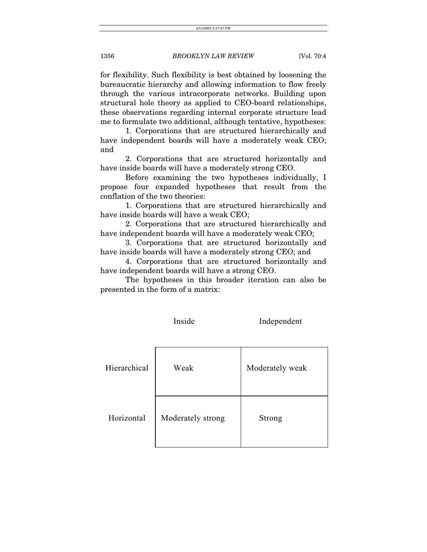for flexibility. Such flexibility is best obtained by loosening the bureaucratic hierarchy and allowing information to flow freely through the various intracorporate networks. Building upon structural hole theory as applied to CEO-board relationships, these observations regarding internal corporate structure lead me to formulate two additional, although tentative, hypotheses:

1. Corporations that are structured hierarchically and have independent boards will have a moderately weak CEO; and

2. Corporations that are structured horizontally and have inside boards will have a moderately strong CEO.

Before examining the two hypotheses individually, I propose four expanded hypotheses that result from the conflation of the two theories:

1. Corporations that are structured hierarchically and have inside boards will have a weak CEO;

2. Corporations that are structured hierarchically and have independent boards will have a moderately weak CEO;

3. Corporations that are structured horizontally and have inside boards will have a moderately strong CEO; and

4. Corporations that are structured horizontally and have independent boards will have a strong CEO.

The hypotheses in this broader iteration can also be presented in the form of a matrix:

|              | Inside            | Independent     |
|--------------|-------------------|-----------------|
| Hierarchical | Weak              | Moderately weak |
| Horizontal   | Moderately strong | Strong          |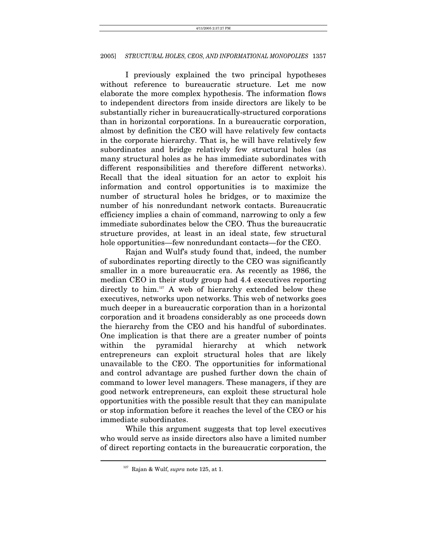I previously explained the two principal hypotheses without reference to bureaucratic structure. Let me now elaborate the more complex hypothesis. The information flows to independent directors from inside directors are likely to be substantially richer in bureaucratically-structured corporations than in horizontal corporations. In a bureaucratic corporation, almost by definition the CEO will have relatively few contacts in the corporate hierarchy. That is, he will have relatively few subordinates and bridge relatively few structural holes (as many structural holes as he has immediate subordinates with different responsibilities and therefore different networks). Recall that the ideal situation for an actor to exploit his information and control opportunities is to maximize the number of structural holes he bridges, or to maximize the number of his nonredundant network contacts. Bureaucratic efficiency implies a chain of command, narrowing to only a few immediate subordinates below the CEO. Thus the bureaucratic structure provides, at least in an ideal state, few structural hole opportunities—few nonredundant contacts—for the CEO.

Rajan and Wulf's study found that, indeed, the number of subordinates reporting directly to the CEO was significantly smaller in a more bureaucratic era. As recently as 1986, the median CEO in their study group had 4.4 executives reporting directly to him.<sup>127</sup> A web of hierarchy extended below these executives, networks upon networks. This web of networks goes much deeper in a bureaucratic corporation than in a horizontal corporation and it broadens considerably as one proceeds down the hierarchy from the CEO and his handful of subordinates. One implication is that there are a greater number of points within the pyramidal hierarchy at which network entrepreneurs can exploit structural holes that are likely unavailable to the CEO. The opportunities for informational and control advantage are pushed further down the chain of command to lower level managers. These managers, if they are good network entrepreneurs, can exploit these structural hole opportunities with the possible result that they can manipulate or stop information before it reaches the level of the CEO or his immediate subordinates.

While this argument suggests that top level executives who would serve as inside directors also have a limited number of direct reporting contacts in the bureaucratic corporation, the

<span id="page-45-0"></span><sup>127</sup> Rajan & Wulf, *supra* note 125, at 1.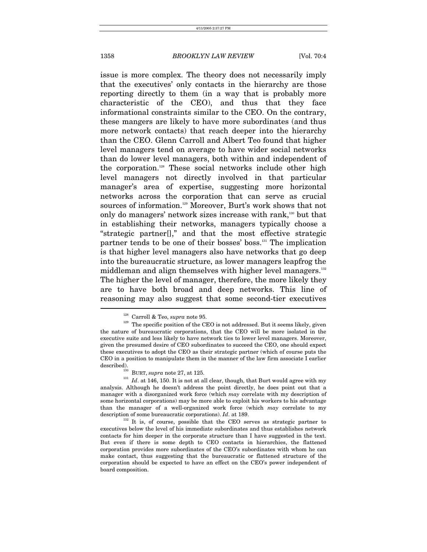issue is more complex. The theory does not necessarily imply that the executives' only contacts in the hierarchy are those reporting directly to them (in a way that is probably more characteristic of the CEO), and thus that they face informational constraints similar to the CEO. On the contrary, these mangers are likely to have more subordinates (and thus more network contacts) that reach deeper into the hierarchy than the CEO. Glenn Carroll and Albert Teo found that higher level managers tend on average to have wider social networks than do lower level managers, both within and independent of the corporation[.128](#page-46-0) These social networks include other high level managers not directly involved in that particular manager's area of expertise, suggesting more horizontal networks across the corporation that can serve as crucial sources of information.<sup>129</sup> Moreover, Burt's work shows that not only do managers' network sizes increase with rank,<sup>130</sup> but that in establishing their networks, managers typically choose a "strategic partner[]," and that the most effective strategic partner tends to be one of their bosses' boss.<sup>131</sup> The implication is that higher level managers also have networks that go deep into the bureaucratic structure, as lower managers leapfrog the middleman and align themselves with higher level managers.<sup>[132](#page-46-4)</sup> The higher the level of manager, therefore, the more likely they are to have both broad and deep networks. This line of reasoning may also suggest that some second-tier executives  $\overline{a}$ 

<span id="page-46-1"></span><span id="page-46-0"></span>

<sup>&</sup>lt;sup>128</sup> Carroll & Teo, *supra* note 95.<br><sup>129</sup> The specific position of the CEO is not addressed. But it seems likely, given the nature of bureaucratic corporations, that the CEO will be more isolated in the executive suite and less likely to have network ties to lower level managers. Moreover, given the presumed desire of CEO subordinates to succeed the CEO, one should expect these executives to adopt the CEO as their strategic partner (which of course puts the CEO in a position to manipulate them in the manner of the law firm associate I earlier

<span id="page-46-3"></span><span id="page-46-2"></span>

described).<br><sup>130</sup> BURT, *supra* note 27, at 125.<br><sup>131</sup> *Id*. at 146, 150. It is not at all clear, though, that Burt would agree with my analysis. Although he doesn't address the point directly, he does point out that a manager with a disorganized work force (which *may* correlate with my description of some horizontal corporations) may be more able to exploit his workers to his advantage than the manager of a well-organized work force (which *may* correlate to my description of some bureaucratic corporations). *Id.* at 189.

<span id="page-46-4"></span><sup>&</sup>lt;sup>132</sup> It is, of course, possible that the CEO serves as strategic partner to executives below the level of his immediate subordinates and thus establishes network contacts for him deeper in the corporate structure than I have suggested in the text. But even if there is some depth to CEO contacts in hierarchies, the flattened corporation provides more subordinates of the CEO's subordinates with whom he can make contact, thus suggesting that the bureaucratic or flattened structure of the corporation should be expected to have an effect on the CEO's power independent of board composition.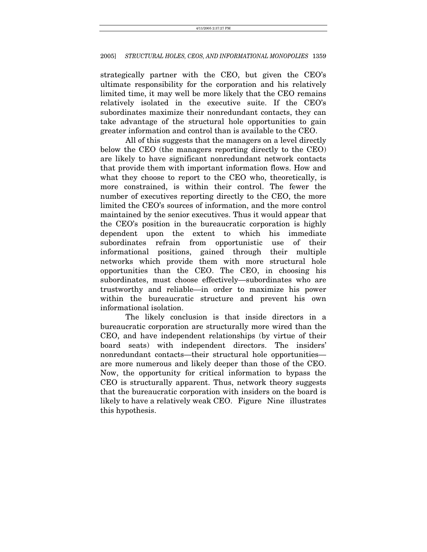strategically partner with the CEO, but given the CEO's ultimate responsibility for the corporation and his relatively limited time, it may well be more likely that the CEO remains relatively isolated in the executive suite. If the CEO's subordinates maximize their nonredundant contacts, they can take advantage of the structural hole opportunities to gain greater information and control than is available to the CEO.

All of this suggests that the managers on a level directly below the CEO (the managers reporting directly to the CEO) are likely to have significant nonredundant network contacts that provide them with important information flows. How and what they choose to report to the CEO who, theoretically, is more constrained, is within their control. The fewer the number of executives reporting directly to the CEO, the more limited the CEO's sources of information, and the more control maintained by the senior executives. Thus it would appear that the CEO's position in the bureaucratic corporation is highly dependent upon the extent to which his immediate subordinates refrain from opportunistic use of their informational positions, gained through their multiple networks which provide them with more structural hole opportunities than the CEO. The CEO, in choosing his subordinates, must choose effectively—subordinates who are trustworthy and reliable—in order to maximize his power within the bureaucratic structure and prevent his own informational isolation.

The likely conclusion is that inside directors in a bureaucratic corporation are structurally more wired than the CEO, and have independent relationships (by virtue of their board seats) with independent directors. The insiders' nonredundant contacts—their structural hole opportunities are more numerous and likely deeper than those of the CEO. Now, the opportunity for critical information to bypass the CEO is structurally apparent. Thus, network theory suggests that the bureaucratic corporation with insiders on the board is likely to have a relatively weak CEO. Figure Nine illustrates this hypothesis.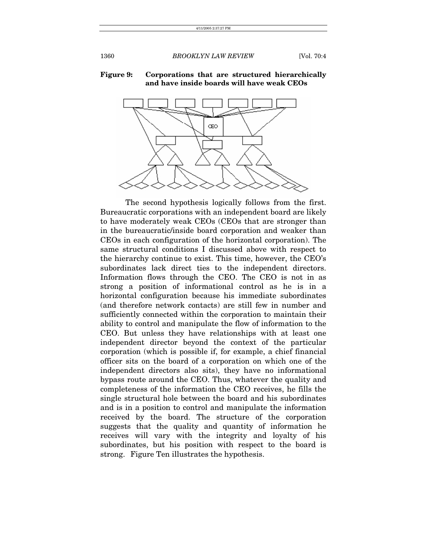#### **Figure 9: Corporations that are structured hierarchically and have inside boards will have weak CEOs**



The second hypothesis logically follows from the first. Bureaucratic corporations with an independent board are likely to have moderately weak CEOs (CEOs that are stronger than in the bureaucratic/inside board corporation and weaker than CEOs in each configuration of the horizontal corporation). The same structural conditions I discussed above with respect to the hierarchy continue to exist. This time, however, the CEO's subordinates lack direct ties to the independent directors. Information flows through the CEO. The CEO is not in as strong a position of informational control as he is in a horizontal configuration because his immediate subordinates (and therefore network contacts) are still few in number and sufficiently connected within the corporation to maintain their ability to control and manipulate the flow of information to the CEO. But unless they have relationships with at least one independent director beyond the context of the particular corporation (which is possible if, for example, a chief financial officer sits on the board of a corporation on which one of the independent directors also sits), they have no informational bypass route around the CEO. Thus, whatever the quality and completeness of the information the CEO receives, he fills the single structural hole between the board and his subordinates and is in a position to control and manipulate the information received by the board. The structure of the corporation suggests that the quality and quantity of information he receives will vary with the integrity and loyalty of his subordinates, but his position with respect to the board is strong. Figure Ten illustrates the hypothesis.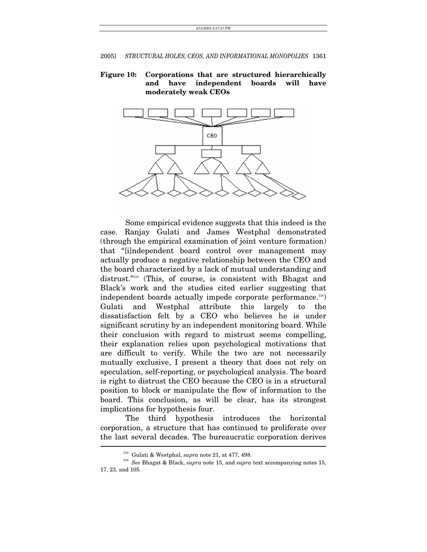## **Figure 10: Corporations that are structured hierarchically and have independent boards will have moderately weak CEOs**



Some empirical evidence suggests that this indeed is the case. Ranjay Gulati and James Westphal demonstrated (through the empirical examination of joint venture formation) that "[i]ndependent board control over management may actually produce a negative relationship between the CEO and the board characterized by a lack of mutual understanding and distrust."<sup>133</sup> (This, of course, is consistent with Bhagat and Black's work and the studies cited earlier suggesting that independent boards actually impede corporate performance.<sup>134</sup>) Gulati and Westphal attribute this largely to the dissatisfaction felt by a CEO who believes he is under significant scrutiny by an independent monitoring board. While their conclusion with regard to mistrust seems compelling, their explanation relies upon psychological motivations that are difficult to verify. While the two are not necessarily mutually exclusive, I present a theory that does not rely on speculation, self-reporting, or psychological analysis. The board is right to distrust the CEO because the CEO is in a structural position to block or manipulate the flow of information to the board. This conclusion, as will be clear, has its strongest implications for hypothesis four.

The third hypothesis introduces the horizontal corporation, a structure that has continued to proliferate over the last several decades. The bureaucratic corporation derives

<span id="page-49-1"></span><span id="page-49-0"></span>

<sup>&</sup>lt;sup>133</sup> Gulati & Westphal, *supra* note 21, at 477, 498.<br><sup>134</sup> *See* Bhagat & Black, *supra* note 15, and *supra* text accompanying notes 15, 17, 23, and 105.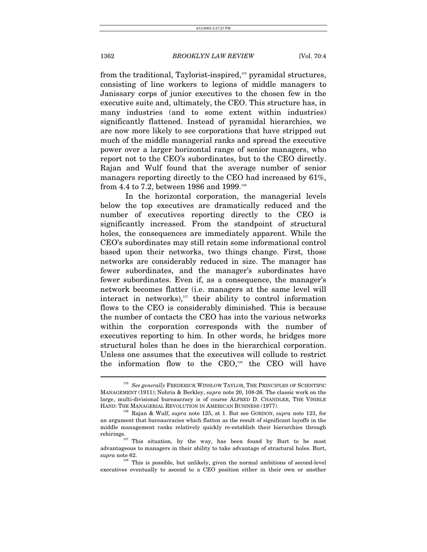from the traditional, Taylorist-inspired,<sup>135</sup> pyramidal structures, consisting of line workers to legions of middle managers to Janissary corps of junior executives to the chosen few in the executive suite and, ultimately, the CEO. This structure has, in many industries (and to some extent within industries) significantly flattened. Instead of pyramidal hierarchies, we are now more likely to see corporations that have stripped out much of the middle managerial ranks and spread the executive power over a larger horizontal range of senior managers, who report not to the CEO's subordinates, but to the CEO directly. Rajan and Wulf found that the average number of senior managers reporting directly to the CEO had increased by 61%, from 4.4 to 7.2, between 1986 and 1999.<sup>[136](#page-50-1)</sup>

In the horizontal corporation, the managerial levels below the top executives are dramatically reduced and the number of executives reporting directly to the CEO is significantly increased. From the standpoint of structural holes, the consequences are immediately apparent. While the CEO's subordinates may still retain some informational control based upon their networks, two things change. First, those networks are considerably reduced in size. The manager has fewer subordinates, and the manager's subordinates have fewer subordinates. Even if, as a consequence, the manager's network becomes flatter (i.e. managers at the same level will interact in networks), $137$  their ability to control information flows to the CEO is considerably diminished. This is because the number of contacts the CEO has into the various networks within the corporation corresponds with the number of executives reporting to him. In other words, he bridges more structural holes than he does in the hierarchical corporation. Unless one assumes that the executives will collude to restrict the information flow to the CEO,<sup>138</sup> the CEO will have

<span id="page-50-0"></span><sup>135</sup> *See generally* FREDERICK WINSLOW TAYLOR, THE PRINCIPLES OF SCIENTIFIC MANAGEMENT (1911); Nohria & Berkley, *supra* note 20, 108-26. The classic work on the large, multi-divisional bureaucracy is of course ALFRED D. CHANDLER, THE VISIBLE HAND: THE MANAGERIAL REVOLUTION IN AMERICAN BUSINESS (1977). 136 Rajan & Wulf, *supra* note 125, at 1. But see GORDON, *supra* note 123, for

<span id="page-50-1"></span>an argument that bureaucracies which flatten as the result of significant layoffs in the middle management ranks relatively quickly re-establish their hierarchies through

<span id="page-50-2"></span>rehirings. 137 This situation, by the way, has been found by Burt to be most advantageous to managers in their ability to take advantage of structural holes. Burt, *supra* note 62. 138 This is possible, but unlikely, given the normal ambitions of second-level

<span id="page-50-3"></span>executives eventually to ascend to a CEO position either in their own or another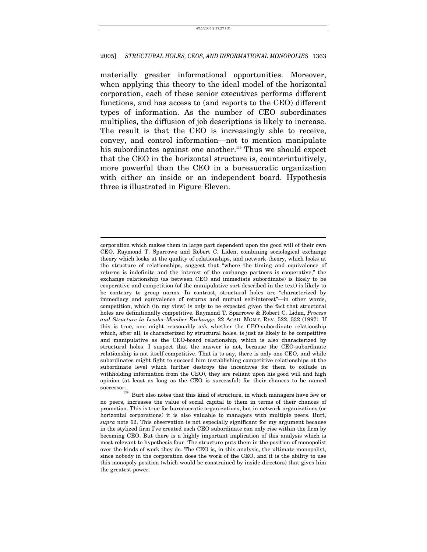materially greater informational opportunities. Moreover, when applying this theory to the ideal model of the horizontal corporation, each of these senior executives performs different functions, and has access to (and reports to the CEO) different types of information. As the number of CEO subordinates multiplies, the diffusion of job descriptions is likely to increase. The result is that the CEO is increasingly able to receive, convey, and control information—not to mention manipulate his subordinates against one another.<sup>139</sup> Thus we should expect that the CEO in the horizontal structure is, counterintuitively, more powerful than the CEO in a bureaucratic organization with either an inside or an independent board. Hypothesis three is illustrated in Figure Eleven.

corporation which makes them in large part dependent upon the good will of their own CEO. Raymond T. Sparrowe and Robert C. Liden, combining sociological exchange theory which looks at the quality of relationships, and network theory, which looks at the structure of relationships, suggest that "where the timing and equivalence of returns is indefinite and the interest of the exchange partners is cooperative," the exchange relationship (as between CEO and immediate subordinate) is likely to be cooperative and competition (of the manipulative sort described in the text) is likely to be contrary to group norms. In contrast, structural holes are "characterized by immediacy and equivalence of returns and mutual self-interest"—in other words, competition, which (in my view) is only to be expected given the fact that structural holes are definitionally competitive. Raymond T. Sparrowe & Robert C. Liden, *Process and Structure in Leader-Member Exchange*, 22 ACAD. MGMT. REV. 522, 532 (1997). If this is true, one might reasonably ask whether the CEO-subordinate relationship which, after all, is characterized by structural holes, is just as likely to be competitive and manipulative as the CEO-board relationship, which is also characterized by structural holes. I suspect that the answer is not, because the CEO-subordinate relationship is not itself competitive. That is to say, there is only one CEO, and while subordinates might fight to succeed him (establishing competitive relationships at the subordinate level which further destroys the incentives for them to collude in withholding information from the CEO), they are reliant upon his good will and high opinion (at least as long as the CEO is successful) for their chances to be named

<span id="page-51-0"></span>successor.<br><sup>139</sup> Burt also notes that this kind of structure, in which managers have few or no peers, increases the value of social capital to them in terms of their chances of promotion. This is true for bureaucratic organizations, but in network organizations (or horizontal corporations) it is also valuable to managers with multiple peers. Burt, *supra* note 62. This observation is not especially significant for my argument because in the stylized firm I've created each CEO subordinate can only rise within the firm by becoming CEO. But there is a highly important implication of this analysis which is most relevant to hypothesis four. The structure puts them in the position of monopolist over the kinds of work they do. The CEO is, in this analysis, the ultimate monopolist, since nobody in the corporation does the work of the CEO, and it is the ability to use this monopoly position (which would be constrained by inside directors) that gives him the greatest power.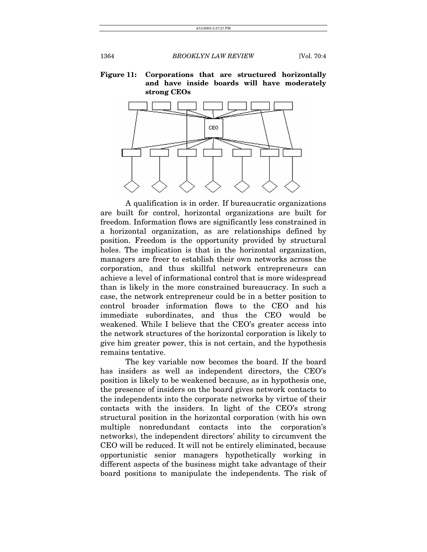**Figure 11: Corporations that are structured horizontally and have inside boards will have moderately strong CEOs**



A qualification is in order. If bureaucratic organizations are built for control, horizontal organizations are built for freedom. Information flows are significantly less constrained in a horizontal organization, as are relationships defined by position. Freedom is the opportunity provided by structural holes. The implication is that in the horizontal organization, managers are freer to establish their own networks across the corporation, and thus skillful network entrepreneurs can achieve a level of informational control that is more widespread than is likely in the more constrained bureaucracy. In such a case, the network entrepreneur could be in a better position to control broader information flows to the CEO and his immediate subordinates, and thus the CEO would be weakened. While I believe that the CEO's greater access into the network structures of the horizontal corporation is likely to give him greater power, this is not certain, and the hypothesis remains tentative.

The key variable now becomes the board. If the board has insiders as well as independent directors, the CEO's position is likely to be weakened because, as in hypothesis one, the presence of insiders on the board gives network contacts to the independents into the corporate networks by virtue of their contacts with the insiders. In light of the CEO's strong structural position in the horizontal corporation (with his own multiple nonredundant contacts into the corporation's networks), the independent directors' ability to circumvent the CEO will be reduced. It will not be entirely eliminated, because opportunistic senior managers hypothetically working in different aspects of the business might take advantage of their board positions to manipulate the independents. The risk of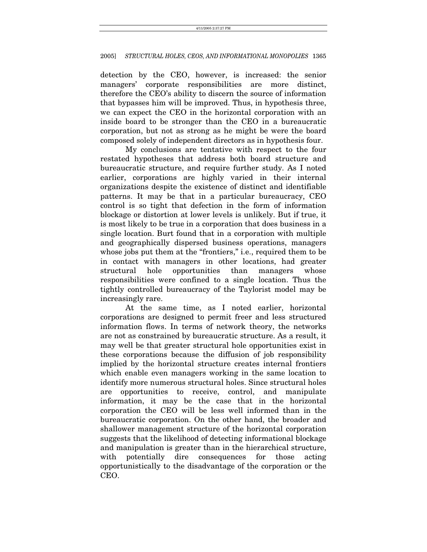detection by the CEO, however, is increased: the senior managers' corporate responsibilities are more distinct, therefore the CEO's ability to discern the source of information that bypasses him will be improved. Thus, in hypothesis three, we can expect the CEO in the horizontal corporation with an inside board to be stronger than the CEO in a bureaucratic corporation, but not as strong as he might be were the board composed solely of independent directors as in hypothesis four.

My conclusions are tentative with respect to the four restated hypotheses that address both board structure and bureaucratic structure, and require further study. As I noted earlier, corporations are highly varied in their internal organizations despite the existence of distinct and identifiable patterns. It may be that in a particular bureaucracy, CEO control is so tight that defection in the form of information blockage or distortion at lower levels is unlikely. But if true, it is most likely to be true in a corporation that does business in a single location. Burt found that in a corporation with multiple and geographically dispersed business operations, managers whose jobs put them at the "frontiers," i.e., required them to be in contact with managers in other locations, had greater structural hole opportunities than managers whose responsibilities were confined to a single location. Thus the tightly controlled bureaucracy of the Taylorist model may be increasingly rare.

At the same time, as I noted earlier, horizontal corporations are designed to permit freer and less structured information flows. In terms of network theory, the networks are not as constrained by bureaucratic structure. As a result, it may well be that greater structural hole opportunities exist in these corporations because the diffusion of job responsibility implied by the horizontal structure creates internal frontiers which enable even managers working in the same location to identify more numerous structural holes. Since structural holes are opportunities to receive, control, and manipulate information, it may be the case that in the horizontal corporation the CEO will be less well informed than in the bureaucratic corporation. On the other hand, the broader and shallower management structure of the horizontal corporation suggests that the likelihood of detecting informational blockage and manipulation is greater than in the hierarchical structure, with potentially dire consequences for those acting opportunistically to the disadvantage of the corporation or the CEO.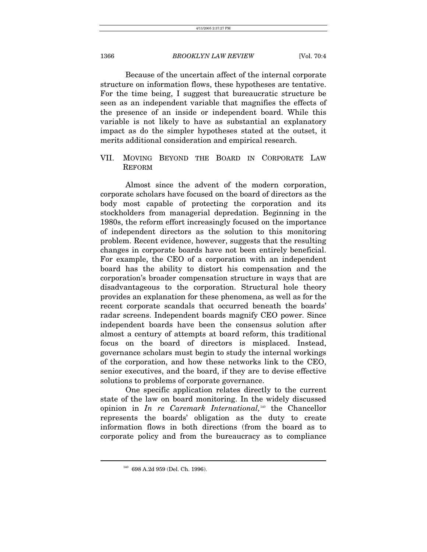Because of the uncertain affect of the internal corporate structure on information flows, these hypotheses are tentative. For the time being, I suggest that bureaucratic structure be seen as an independent variable that magnifies the effects of the presence of an inside or independent board. While this variable is not likely to have as substantial an explanatory impact as do the simpler hypotheses stated at the outset, it merits additional consideration and empirical research.

## VII. MOVING BEYOND THE BOARD IN CORPORATE LAW REFORM

Almost since the advent of the modern corporation, corporate scholars have focused on the board of directors as the body most capable of protecting the corporation and its stockholders from managerial depredation. Beginning in the 1980s, the reform effort increasingly focused on the importance of independent directors as the solution to this monitoring problem. Recent evidence, however, suggests that the resulting changes in corporate boards have not been entirely beneficial. For example, the CEO of a corporation with an independent board has the ability to distort his compensation and the corporation's broader compensation structure in ways that are disadvantageous to the corporation. Structural hole theory provides an explanation for these phenomena, as well as for the recent corporate scandals that occurred beneath the boards' radar screens. Independent boards magnify CEO power. Since independent boards have been the consensus solution after almost a century of attempts at board reform, this traditional focus on the board of directors is misplaced. Instead, governance scholars must begin to study the internal workings of the corporation, and how these networks link to the CEO, senior executives, and the board, if they are to devise effective solutions to problems of corporate governance.

One specific application relates directly to the current state of the law on board monitoring. In the widely discussed opinion in *In re Caremark International,*[140](#page-54-0) the Chancellor represents the boards' obligation as the duty to create information flows in both directions (from the board as to corporate policy and from the bureaucracy as to compliance

<span id="page-54-0"></span><sup>140 698</sup> A.2d 959 (Del. Ch. 1996).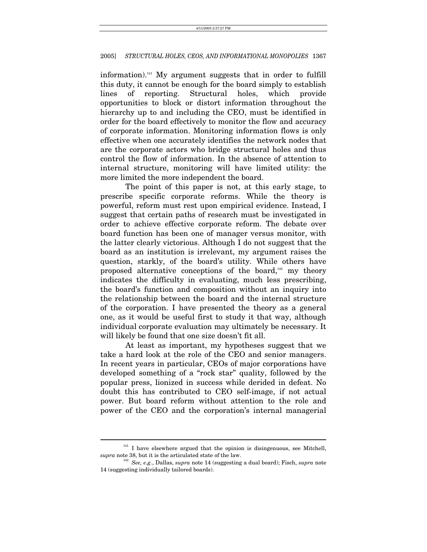information).<sup>141</sup> My argument suggests that in order to fulfill this duty, it cannot be enough for the board simply to establish lines of reporting. Structural holes, which provide opportunities to block or distort information throughout the hierarchy up to and including the CEO, must be identified in order for the board effectively to monitor the flow and accuracy of corporate information. Monitoring information flows is only effective when one accurately identifies the network nodes that are the corporate actors who bridge structural holes and thus control the flow of information. In the absence of attention to internal structure, monitoring will have limited utility: the more limited the more independent the board.

The point of this paper is not, at this early stage, to prescribe specific corporate reforms. While the theory is powerful, reform must rest upon empirical evidence. Instead, I suggest that certain paths of research must be investigated in order to achieve effective corporate reform. The debate over board function has been one of manager versus monitor, with the latter clearly victorious. Although I do not suggest that the board as an institution is irrelevant, my argument raises the question, starkly, of the board's utility. While others have proposed alternative conceptions of the board, $142$  my theory indicates the difficulty in evaluating, much less prescribing, the board's function and composition without an inquiry into the relationship between the board and the internal structure of the corporation. I have presented the theory as a general one, as it would be useful first to study it that way, although individual corporate evaluation may ultimately be necessary. It will likely be found that one size doesn't fit all.

At least as important, my hypotheses suggest that we take a hard look at the role of the CEO and senior managers. In recent years in particular, CEOs of major corporations have developed something of a "rock star" quality, followed by the popular press, lionized in success while derided in defeat. No doubt this has contributed to CEO self-image, if not actual power. But board reform without attention to the role and power of the CEO and the corporation's internal managerial

<span id="page-55-0"></span> $141$  I have elsewhere argued that the opinion is disingenuous, see Mitchell, supra note 38, but it is the articulated state of the law.

<span id="page-55-1"></span><sup>&</sup>lt;sup>142</sup> See, e.g., Dallas, *supra* note 14 (suggesting a dual board); Fisch, *supra* note 14 (suggesting individually tailored boards).